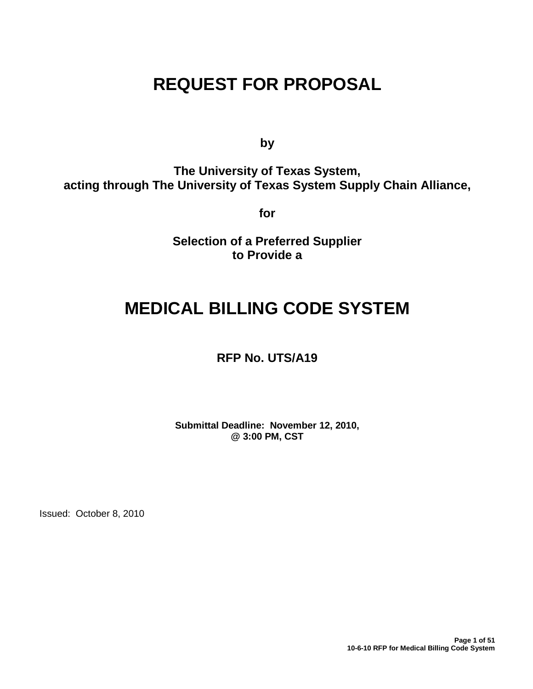# **REQUEST FOR PROPOSAL**

**by**

**The University of Texas System, acting through The University of Texas System Supply Chain Alliance,**

**for**

**Selection of a Preferred Supplier to Provide a**

# **MEDICAL BILLING CODE SYSTEM**

# **RFP No. UTS/A19**

**Submittal Deadline: November 12, 2010, @ 3:00 PM, CST**

Issued: October 8, 2010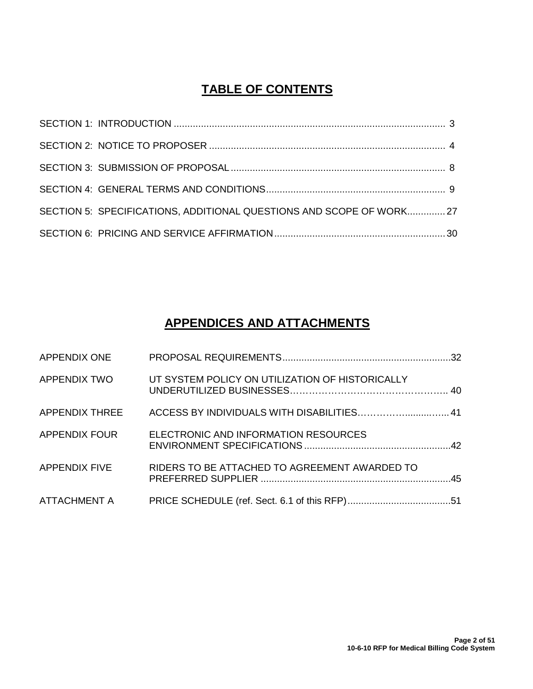# **TABLE OF CONTENTS**

| SECTION 5: SPECIFICATIONS, ADDITIONAL QUESTIONS AND SCOPE OF WORK 27 |  |
|----------------------------------------------------------------------|--|
|                                                                      |  |

# **APPENDICES AND ATTACHMENTS**

| APPENDIX ONE          |                                                 |  |
|-----------------------|-------------------------------------------------|--|
| <b>APPENDIX TWO</b>   | UT SYSTEM POLICY ON UTILIZATION OF HISTORICALLY |  |
| <b>APPENDIX THREE</b> |                                                 |  |
| <b>APPENDIX FOUR</b>  | ELECTRONIC AND INFORMATION RESOURCES            |  |
| <b>APPENDIX FIVE</b>  | RIDERS TO BE ATTACHED TO AGREEMENT AWARDED TO   |  |
| ATTACHMENT A          |                                                 |  |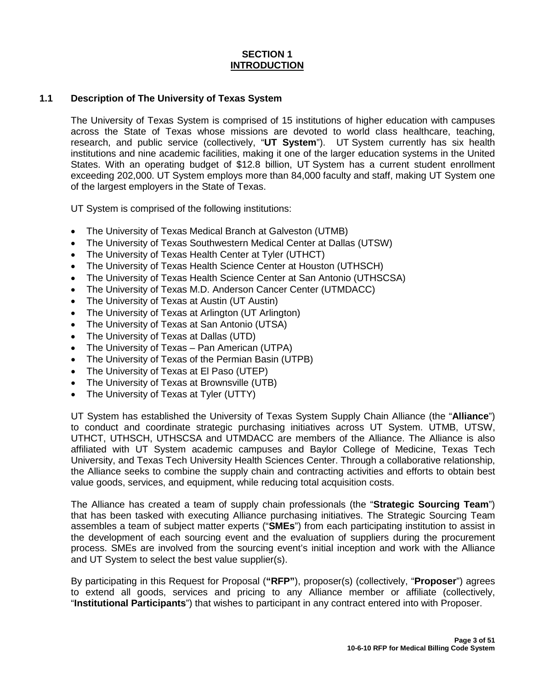#### **SECTION 1 INTRODUCTION**

# **1.1 Description of The University of Texas System**

The University of Texas System is comprised of 15 institutions of higher education with campuses across the State of Texas whose missions are devoted to world class healthcare, teaching, research, and public service (collectively, "**UT System**"). UT System currently has six health institutions and nine academic facilities, making it one of the larger education systems in the United States. With an operating budget of \$12.8 billion, UT System has a current student enrollment exceeding 202,000. UT System employs more than 84,000 faculty and staff, making UT System one of the largest employers in the State of Texas.

UT System is comprised of the following institutions:

- The University of Texas Medical Branch at Galveston (UTMB)
- The University of Texas Southwestern Medical Center at Dallas (UTSW)
- The University of Texas Health Center at Tyler (UTHCT)
- The University of Texas Health Science Center at Houston (UTHSCH)
- The University of Texas Health Science Center at San Antonio (UTHSCSA)
- The University of Texas M.D. Anderson Cancer Center (UTMDACC)
- The University of Texas at Austin (UT Austin)
- The University of Texas at Arlington (UT Arlington)
- The University of Texas at San Antonio (UTSA)
- The University of Texas at Dallas (UTD)
- The University of Texas Pan American (UTPA)
- The University of Texas of the Permian Basin (UTPB)
- The University of Texas at El Paso (UTEP)
- The University of Texas at Brownsville (UTB)
- The University of Texas at Tyler (UTTY)

UT System has established the University of Texas System Supply Chain Alliance (the "**Alliance**") to conduct and coordinate strategic purchasing initiatives across UT System. UTMB, UTSW, UTHCT, UTHSCH, UTHSCSA and UTMDACC are members of the Alliance. The Alliance is also affiliated with UT System academic campuses and Baylor College of Medicine, Texas Tech University, and Texas Tech University Health Sciences Center. Through a collaborative relationship, the Alliance seeks to combine the supply chain and contracting activities and efforts to obtain best value goods, services, and equipment, while reducing total acquisition costs.

The Alliance has created a team of supply chain professionals (the "**Strategic Sourcing Team**") that has been tasked with executing Alliance purchasing initiatives. The Strategic Sourcing Team assembles a team of subject matter experts ("**SMEs**") from each participating institution to assist in the development of each sourcing event and the evaluation of suppliers during the procurement process. SMEs are involved from the sourcing event's initial inception and work with the Alliance and UT System to select the best value supplier(s).

By participating in this Request for Proposal (**"RFP"**), proposer(s) (collectively, "**Proposer**") agrees to extend all goods, services and pricing to any Alliance member or affiliate (collectively, "**Institutional Participants**") that wishes to participant in any contract entered into with Proposer.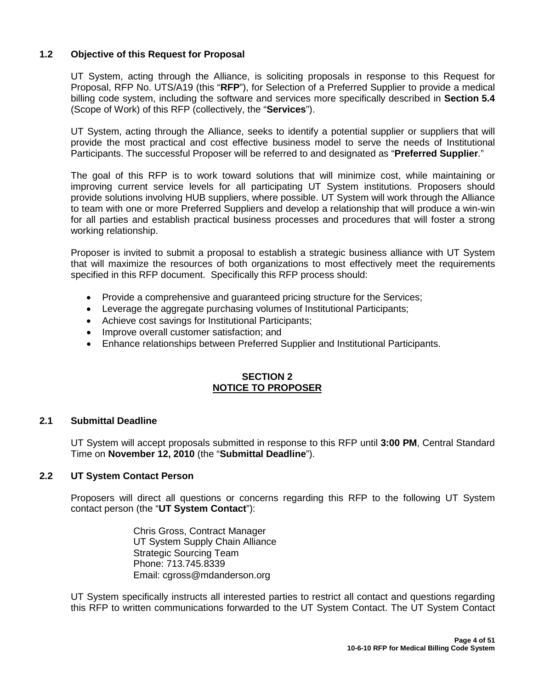# **1.2 Objective of this Request for Proposal**

UT System, acting through the Alliance, is soliciting proposals in response to this Request for Proposal, RFP No. UTS/A19 (this "**RFP**"), for Selection of a Preferred Supplier to provide a medical billing code system, including the software and services more specifically described in **Section 5.4**  (Scope of Work) of this RFP (collectively, the "**Services**").

UT System, acting through the Alliance, seeks to identify a potential supplier or suppliers that will provide the most practical and cost effective business model to serve the needs of Institutional Participants. The successful Proposer will be referred to and designated as "**Preferred Supplier**."

The goal of this RFP is to work toward solutions that will minimize cost, while maintaining or improving current service levels for all participating UT System institutions. Proposers should provide solutions involving HUB suppliers, where possible. UT System will work through the Alliance to team with one or more Preferred Suppliers and develop a relationship that will produce a win-win for all parties and establish practical business processes and procedures that will foster a strong working relationship.

Proposer is invited to submit a proposal to establish a strategic business alliance with UT System that will maximize the resources of both organizations to most effectively meet the requirements specified in this RFP document. Specifically this RFP process should:

- Provide a comprehensive and guaranteed pricing structure for the Services;
- Leverage the aggregate purchasing volumes of Institutional Participants;
- Achieve cost savings for Institutional Participants;
- Improve overall customer satisfaction; and
- Enhance relationships between Preferred Supplier and Institutional Participants.

# **SECTION 2 NOTICE TO PROPOSER**

#### **2.1 Submittal Deadline**

UT System will accept proposals submitted in response to this RFP until **3:00 PM**, Central Standard Time on **November 12, 2010** (the "**Submittal Deadline**").

# **2.2 UT System Contact Person**

Proposers will direct all questions or concerns regarding this RFP to the following UT System contact person (the "**UT System Contact**"):

> Chris Gross, Contract Manager UT System Supply Chain Alliance Strategic Sourcing Team Phone: 713.745.8339 Email: cgross@mdanderson.org

UT System specifically instructs all interested parties to restrict all contact and questions regarding this RFP to written communications forwarded to the UT System Contact. The UT System Contact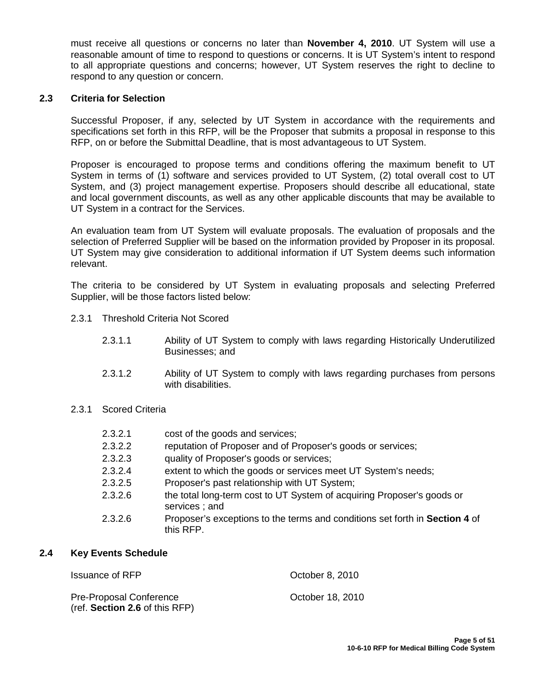must receive all questions or concerns no later than **November 4, 2010**. UT System will use a reasonable amount of time to respond to questions or concerns. It is UT System's intent to respond to all appropriate questions and concerns; however, UT System reserves the right to decline to respond to any question or concern.

# **2.3 Criteria for Selection**

Successful Proposer, if any, selected by UT System in accordance with the requirements and specifications set forth in this RFP, will be the Proposer that submits a proposal in response to this RFP, on or before the Submittal Deadline, that is most advantageous to UT System.

Proposer is encouraged to propose terms and conditions offering the maximum benefit to UT System in terms of (1) software and services provided to UT System, (2) total overall cost to UT System, and (3) project management expertise. Proposers should describe all educational, state and local government discounts, as well as any other applicable discounts that may be available to UT System in a contract for the Services.

An evaluation team from UT System will evaluate proposals. The evaluation of proposals and the selection of Preferred Supplier will be based on the information provided by Proposer in its proposal. UT System may give consideration to additional information if UT System deems such information relevant.

The criteria to be considered by UT System in evaluating proposals and selecting Preferred Supplier, will be those factors listed below:

- 2.3.1 Threshold Criteria Not Scored
	- 2.3.1.1 Ability of UT System to comply with laws regarding Historically Underutilized Businesses; and
	- 2.3.1.2 Ability of UT System to comply with laws regarding purchases from persons with disabilities.
- 2.3.1 Scored Criteria

| 2.3.2.1 | cost of the goods and services;                                                          |
|---------|------------------------------------------------------------------------------------------|
| 2.3.2.2 | reputation of Proposer and of Proposer's goods or services;                              |
| 2.3.2.3 | quality of Proposer's goods or services;                                                 |
| 2.3.2.4 | extent to which the goods or services meet UT System's needs;                            |
| 2.3.2.5 | Proposer's past relationship with UT System;                                             |
| 2.3.2.6 | the total long-term cost to UT System of acquiring Proposer's goods or<br>services; and  |
| 2.3.2.6 | Proposer's exceptions to the terms and conditions set forth in Section 4 of<br>this RFP. |

# **2.4 Key Events Schedule**

| <b>Issuance of RFP</b>                                           | October 8, 2010  |
|------------------------------------------------------------------|------------------|
| <b>Pre-Proposal Conference</b><br>(ref. Section 2.6 of this RFP) | October 18, 2010 |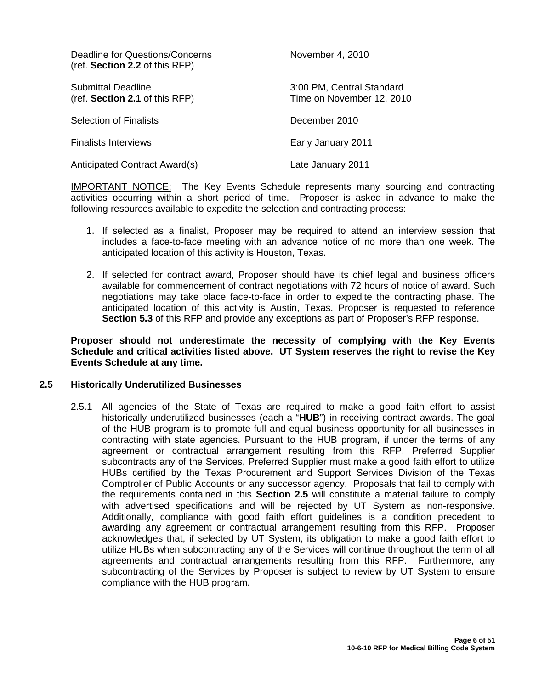| Deadline for Questions/Concerns<br>(ref. Section 2.2 of this RFP) | November 4, 2010                                       |
|-------------------------------------------------------------------|--------------------------------------------------------|
| <b>Submittal Deadline</b><br>(ref. Section 2.1 of this RFP)       | 3:00 PM, Central Standard<br>Time on November 12, 2010 |
| <b>Selection of Finalists</b>                                     | December 2010                                          |
| <b>Finalists Interviews</b>                                       | Early January 2011                                     |
| Anticipated Contract Award(s)                                     | Late January 2011                                      |

IMPORTANT NOTICE: The Key Events Schedule represents many sourcing and contracting activities occurring within a short period of time. Proposer is asked in advance to make the following resources available to expedite the selection and contracting process:

- 1. If selected as a finalist, Proposer may be required to attend an interview session that includes a face-to-face meeting with an advance notice of no more than one week. The anticipated location of this activity is Houston, Texas.
- 2. If selected for contract award, Proposer should have its chief legal and business officers available for commencement of contract negotiations with 72 hours of notice of award. Such negotiations may take place face-to-face in order to expedite the contracting phase. The anticipated location of this activity is Austin, Texas. Proposer is requested to reference **Section 5.3** of this RFP and provide any exceptions as part of Proposer's RFP response.

**Proposer should not underestimate the necessity of complying with the Key Events Schedule and critical activities listed above. UT System reserves the right to revise the Key Events Schedule at any time.**

#### **2.5 Historically Underutilized Businesses**

2.5.1 All agencies of the State of Texas are required to make a good faith effort to assist historically underutilized businesses (each a "**HUB**") in receiving contract awards. The goal of the HUB program is to promote full and equal business opportunity for all businesses in contracting with state agencies. Pursuant to the HUB program, if under the terms of any agreement or contractual arrangement resulting from this RFP, Preferred Supplier subcontracts any of the Services, Preferred Supplier must make a good faith effort to utilize HUBs certified by the Texas Procurement and Support Services Division of the Texas Comptroller of Public Accounts or any successor agency. Proposals that fail to comply with the requirements contained in this **Section 2.5** will constitute a material failure to comply with advertised specifications and will be rejected by UT System as non-responsive. Additionally, compliance with good faith effort guidelines is a condition precedent to awarding any agreement or contractual arrangement resulting from this RFP. Proposer acknowledges that, if selected by UT System, its obligation to make a good faith effort to utilize HUBs when subcontracting any of the Services will continue throughout the term of all agreements and contractual arrangements resulting from this RFP. Furthermore, any subcontracting of the Services by Proposer is subject to review by UT System to ensure compliance with the HUB program.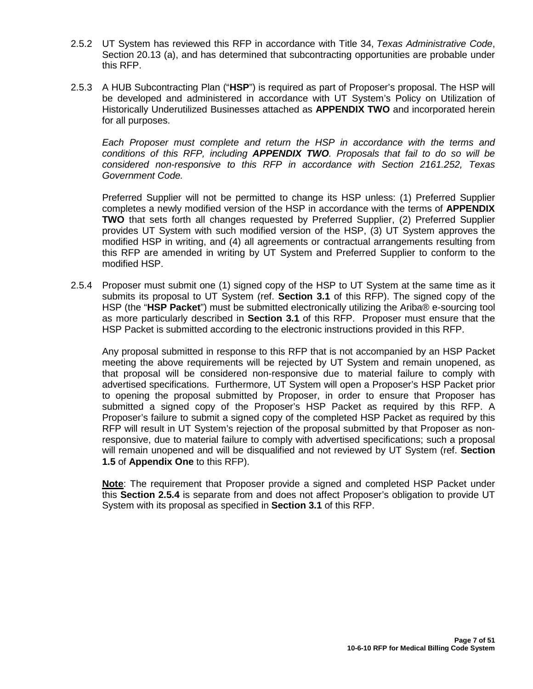- 2.5.2 UT System has reviewed this RFP in accordance with Title 34, *Texas Administrative Code*, Section 20.13 (a), and has determined that subcontracting opportunities are probable under this RFP.
- 2.5.3 A HUB Subcontracting Plan ("**HSP**") is required as part of Proposer's proposal. The HSP will be developed and administered in accordance with UT System's Policy on Utilization of Historically Underutilized Businesses attached as **APPENDIX TWO** and incorporated herein for all purposes.

*Each Proposer must complete and return the HSP in accordance with the terms and conditions of this RFP, including APPENDIX TWO. Proposals that fail to do so will be considered non-responsive to this RFP in accordance with Section 2161.252, Texas Government Code.*

Preferred Supplier will not be permitted to change its HSP unless: (1) Preferred Supplier completes a newly modified version of the HSP in accordance with the terms of **APPENDIX TWO** that sets forth all changes requested by Preferred Supplier, (2) Preferred Supplier provides UT System with such modified version of the HSP, (3) UT System approves the modified HSP in writing, and (4) all agreements or contractual arrangements resulting from this RFP are amended in writing by UT System and Preferred Supplier to conform to the modified HSP.

2.5.4 Proposer must submit one (1) signed copy of the HSP to UT System at the same time as it submits its proposal to UT System (ref. **Section 3.1** of this RFP). The signed copy of the HSP (the "**HSP Packet**") must be submitted electronically utilizing the Ariba® e-sourcing tool as more particularly described in **Section 3.1** of this RFP. Proposer must ensure that the HSP Packet is submitted according to the electronic instructions provided in this RFP.

Any proposal submitted in response to this RFP that is not accompanied by an HSP Packet meeting the above requirements will be rejected by UT System and remain unopened, as that proposal will be considered non-responsive due to material failure to comply with advertised specifications. Furthermore, UT System will open a Proposer's HSP Packet prior to opening the proposal submitted by Proposer, in order to ensure that Proposer has submitted a signed copy of the Proposer's HSP Packet as required by this RFP. A Proposer's failure to submit a signed copy of the completed HSP Packet as required by this RFP will result in UT System's rejection of the proposal submitted by that Proposer as nonresponsive, due to material failure to comply with advertised specifications; such a proposal will remain unopened and will be disqualified and not reviewed by UT System (ref. **Section 1.5** of **Appendix One** to this RFP).

**Note**: The requirement that Proposer provide a signed and completed HSP Packet under this **Section 2.5.4** is separate from and does not affect Proposer's obligation to provide UT System with its proposal as specified in **Section 3.1** of this RFP.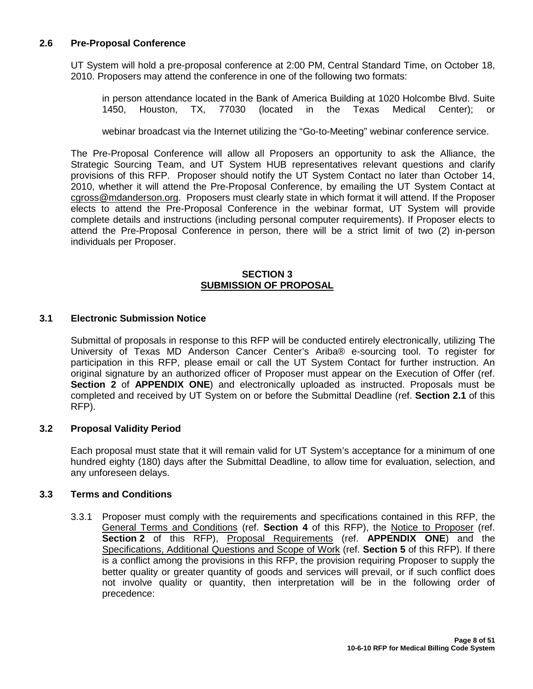# **2.6 Pre-Proposal Conference**

UT System will hold a pre-proposal conference at 2:00 PM, Central Standard Time, on October 18, 2010. Proposers may attend the conference in one of the following two formats:

in person attendance located in the Bank of America Building at 1020 Holcombe Blvd. Suite 1450, Houston, TX, 77030 (located in the Texas Medical Center); or

webinar broadcast via the Internet utilizing the "Go-to-Meeting" webinar conference service.

The Pre-Proposal Conference will allow all Proposers an opportunity to ask the Alliance, the Strategic Sourcing Team, and UT System HUB representatives relevant questions and clarify provisions of this RFP. Proposer should notify the UT System Contact no later than October 14, 2010, whether it will attend the Pre-Proposal Conference, by emailing the UT System Contact at [cgross@mdanderson.org.](mailto:cgross@mdanderson.org) Proposers must clearly state in which format it will attend. If the Proposer elects to attend the Pre-Proposal Conference in the webinar format, UT System will provide complete details and instructions (including personal computer requirements). If Proposer elects to attend the Pre-Proposal Conference in person, there will be a strict limit of two (2) in-person individuals per Proposer.

### **SECTION 3 SUBMISSION OF PROPOSAL**

### **3.1 Electronic Submission Notice**

Submittal of proposals in response to this RFP will be conducted entirely electronically, utilizing The University of Texas MD Anderson Cancer Center's Ariba® e-sourcing tool. To register for participation in this RFP, please email or call the UT System Contact for further instruction. An original signature by an authorized officer of Proposer must appear on the Execution of Offer (ref. **Section 2** of **APPENDIX ONE**) and electronically uploaded as instructed. Proposals must be completed and received by UT System on or before the Submittal Deadline (ref. **Section 2.1** of this RFP).

#### **3.2 Proposal Validity Period**

Each proposal must state that it will remain valid for UT System's acceptance for a minimum of one hundred eighty (180) days after the Submittal Deadline, to allow time for evaluation, selection, and any unforeseen delays.

#### **3.3 Terms and Conditions**

3.3.1 Proposer must comply with the requirements and specifications contained in this RFP, the General Terms and Conditions (ref. **Section 4** of this RFP), the Notice to Proposer (ref. **Section 2** of this RFP), Proposal Requirements (ref. **APPENDIX ONE**) and the Specifications, Additional Questions and Scope of Work (ref. **Section 5** of this RFP). If there is a conflict among the provisions in this RFP, the provision requiring Proposer to supply the better quality or greater quantity of goods and services will prevail, or if such conflict does not involve quality or quantity, then interpretation will be in the following order of precedence: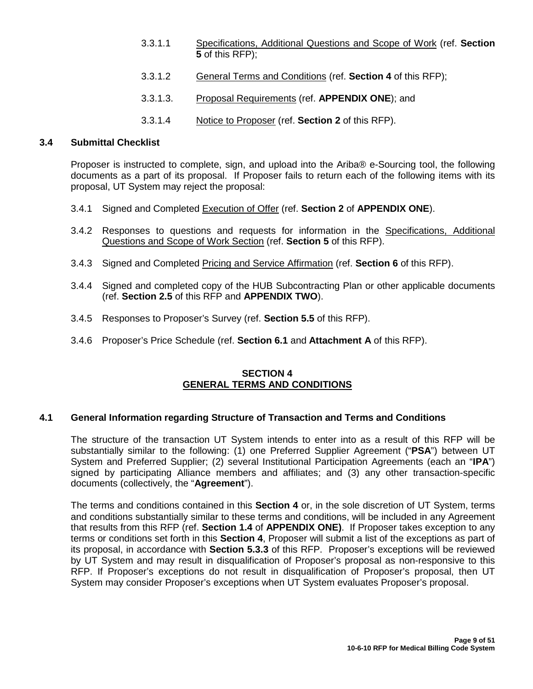- 3.3.1.1 Specifications, Additional Questions and Scope of Work (ref. **Section 5** of this RFP);
- 3.3.1.2 General Terms and Conditions (ref. **Section 4** of this RFP);
- 3.3.1.3. Proposal Requirements (ref. **APPENDIX ONE**); and
- 3.3.1.4 Notice to Proposer (ref. **Section 2** of this RFP).

# **3.4 Submittal Checklist**

Proposer is instructed to complete, sign, and upload into the Ariba® e-Sourcing tool, the following documents as a part of its proposal. If Proposer fails to return each of the following items with its proposal, UT System may reject the proposal:

- 3.4.1 Signed and Completed Execution of Offer (ref. **Section 2** of **APPENDIX ONE**).
- 3.4.2 Responses to questions and requests for information in the Specifications, Additional Questions and Scope of Work Section (ref. **Section 5** of this RFP).
- 3.4.3 Signed and Completed Pricing and Service Affirmation (ref. **Section 6** of this RFP).
- 3.4.4 Signed and completed copy of the HUB Subcontracting Plan or other applicable documents (ref. **Section 2.5** of this RFP and **APPENDIX TWO**).
- 3.4.5 Responses to Proposer's Survey (ref. **Section 5.5** of this RFP).
- 3.4.6 Proposer's Price Schedule (ref. **Section 6.1** and **Attachment A** of this RFP).

# **SECTION 4 GENERAL TERMS AND CONDITIONS**

# **4.1 General Information regarding Structure of Transaction and Terms and Conditions**

The structure of the transaction UT System intends to enter into as a result of this RFP will be substantially similar to the following: (1) one Preferred Supplier Agreement ("**PSA**") between UT System and Preferred Supplier; (2) several Institutional Participation Agreements (each an "**IPA**") signed by participating Alliance members and affiliates; and (3) any other transaction-specific documents (collectively, the "**Agreement**").

The terms and conditions contained in this **Section 4** or, in the sole discretion of UT System, terms and conditions substantially similar to these terms and conditions, will be included in any Agreement that results from this RFP (ref. **Section 1.4** of **APPENDIX ONE)**. If Proposer takes exception to any terms or conditions set forth in this **Section 4**, Proposer will submit a list of the exceptions as part of its proposal, in accordance with **Section 5.3.3** of this RFP. Proposer's exceptions will be reviewed by UT System and may result in disqualification of Proposer's proposal as non-responsive to this RFP. If Proposer's exceptions do not result in disqualification of Proposer's proposal, then UT System may consider Proposer's exceptions when UT System evaluates Proposer's proposal.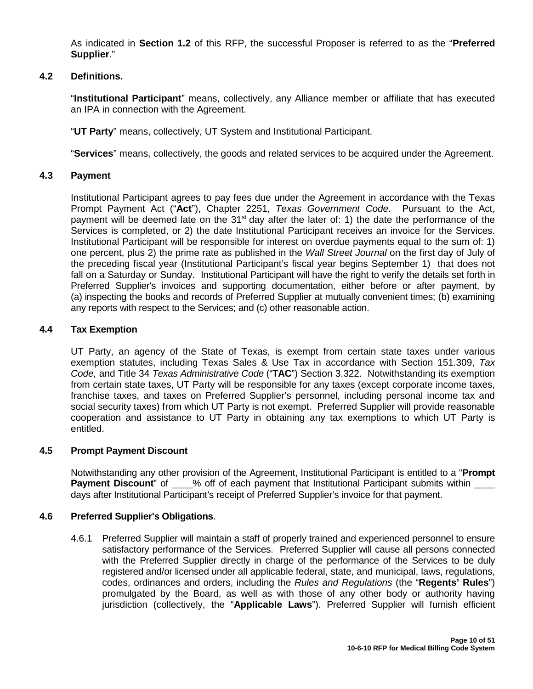As indicated in **Section 1.2** of this RFP, the successful Proposer is referred to as the "**Preferred Supplier**."

# **4.2 Definitions.**

"**Institutional Participant**" means, collectively, any Alliance member or affiliate that has executed an IPA in connection with the Agreement.

"**UT Party**" means, collectively, UT System and Institutional Participant.

"**Services**" means, collectively, the goods and related services to be acquired under the Agreement.

#### **4.3 Payment**

Institutional Participant agrees to pay fees due under the Agreement in accordance with the Texas Prompt Payment Act ("**Act**"), Chapter 2251, *Texas Government Code*. Pursuant to the Act, payment will be deemed late on the  $31<sup>st</sup>$  day after the later of: 1) the date the performance of the Services is completed, or 2) the date Institutional Participant receives an invoice for the Services. Institutional Participant will be responsible for interest on overdue payments equal to the sum of: 1) one percent, plus 2) the prime rate as published in the *Wall Street Journal* on the first day of July of the preceding fiscal year (Institutional Participant's fiscal year begins September 1) that does not fall on a Saturday or Sunday. Institutional Participant will have the right to verify the details set forth in Preferred Supplier's invoices and supporting documentation, either before or after payment, by (a) inspecting the books and records of Preferred Supplier at mutually convenient times; (b) examining any reports with respect to the Services; and (c) other reasonable action.

### **4.4 Tax Exemption**

UT Party, an agency of the State of Texas, is exempt from certain state taxes under various exemption statutes, including Texas Sales & Use Tax in accordance with Section 151.309, *Tax Code,* and Title 34 *Texas Administrative Code* ("**TAC**") Section 3.322. Notwithstanding its exemption from certain state taxes, UT Party will be responsible for any taxes (except corporate income taxes, franchise taxes, and taxes on Preferred Supplier's personnel, including personal income tax and social security taxes) from which UT Party is not exempt. Preferred Supplier will provide reasonable cooperation and assistance to UT Party in obtaining any tax exemptions to which UT Party is entitled.

#### **4.5 Prompt Payment Discount**

Notwithstanding any other provision of the Agreement, Institutional Participant is entitled to a "**Prompt Payment Discount**" of \_\_\_\_% off of each payment that Institutional Participant submits within \_\_\_ days after Institutional Participant's receipt of Preferred Supplier's invoice for that payment.

#### **4.6 Preferred Supplier's Obligations**.

4.6.1 Preferred Supplier will maintain a staff of properly trained and experienced personnel to ensure satisfactory performance of the Services. Preferred Supplier will cause all persons connected with the Preferred Supplier directly in charge of the performance of the Services to be duly registered and/or licensed under all applicable federal, state, and municipal, laws, regulations, codes, ordinances and orders, including the *Rules and Regulations* (the "**Regents' Rules**") promulgated by the Board, as well as with those of any other body or authority having jurisdiction (collectively, the "**Applicable Laws**"). Preferred Supplier will furnish efficient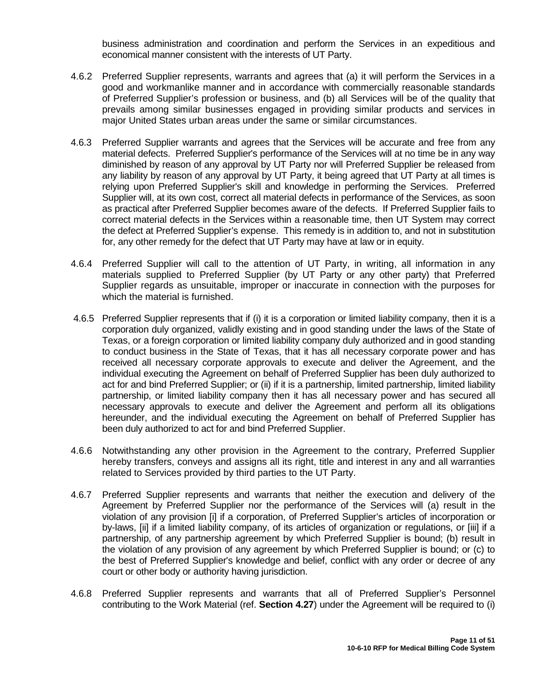business administration and coordination and perform the Services in an expeditious and economical manner consistent with the interests of UT Party.

- 4.6.2 Preferred Supplier represents, warrants and agrees that (a) it will perform the Services in a good and workmanlike manner and in accordance with commercially reasonable standards of Preferred Supplier's profession or business, and (b) all Services will be of the quality that prevails among similar businesses engaged in providing similar products and services in major United States urban areas under the same or similar circumstances.
- 4.6.3 Preferred Supplier warrants and agrees that the Services will be accurate and free from any material defects. Preferred Supplier's performance of the Services will at no time be in any way diminished by reason of any approval by UT Party nor will Preferred Supplier be released from any liability by reason of any approval by UT Party, it being agreed that UT Party at all times is relying upon Preferred Supplier's skill and knowledge in performing the Services. Preferred Supplier will, at its own cost, correct all material defects in performance of the Services, as soon as practical after Preferred Supplier becomes aware of the defects. If Preferred Supplier fails to correct material defects in the Services within a reasonable time, then UT System may correct the defect at Preferred Supplier's expense. This remedy is in addition to, and not in substitution for, any other remedy for the defect that UT Party may have at law or in equity.
- 4.6.4 Preferred Supplier will call to the attention of UT Party, in writing, all information in any materials supplied to Preferred Supplier (by UT Party or any other party) that Preferred Supplier regards as unsuitable, improper or inaccurate in connection with the purposes for which the material is furnished.
- 4.6.5 Preferred Supplier represents that if (i) it is a corporation or limited liability company, then it is a corporation duly organized, validly existing and in good standing under the laws of the State of Texas, or a foreign corporation or limited liability company duly authorized and in good standing to conduct business in the State of Texas, that it has all necessary corporate power and has received all necessary corporate approvals to execute and deliver the Agreement, and the individual executing the Agreement on behalf of Preferred Supplier has been duly authorized to act for and bind Preferred Supplier; or (ii) if it is a partnership, limited partnership, limited liability partnership, or limited liability company then it has all necessary power and has secured all necessary approvals to execute and deliver the Agreement and perform all its obligations hereunder, and the individual executing the Agreement on behalf of Preferred Supplier has been duly authorized to act for and bind Preferred Supplier.
- 4.6.6 Notwithstanding any other provision in the Agreement to the contrary, Preferred Supplier hereby transfers, conveys and assigns all its right, title and interest in any and all warranties related to Services provided by third parties to the UT Party.
- 4.6.7 Preferred Supplier represents and warrants that neither the execution and delivery of the Agreement by Preferred Supplier nor the performance of the Services will (a) result in the violation of any provision [i] if a corporation, of Preferred Supplier's articles of incorporation or by-laws, [ii] if a limited liability company, of its articles of organization or regulations, or [iii] if a partnership, of any partnership agreement by which Preferred Supplier is bound; (b) result in the violation of any provision of any agreement by which Preferred Supplier is bound; or (c) to the best of Preferred Supplier's knowledge and belief, conflict with any order or decree of any court or other body or authority having jurisdiction.
- 4.6.8 Preferred Supplier represents and warrants that all of Preferred Supplier's Personnel contributing to the Work Material (ref. **Section 4.27**) under the Agreement will be required to (i)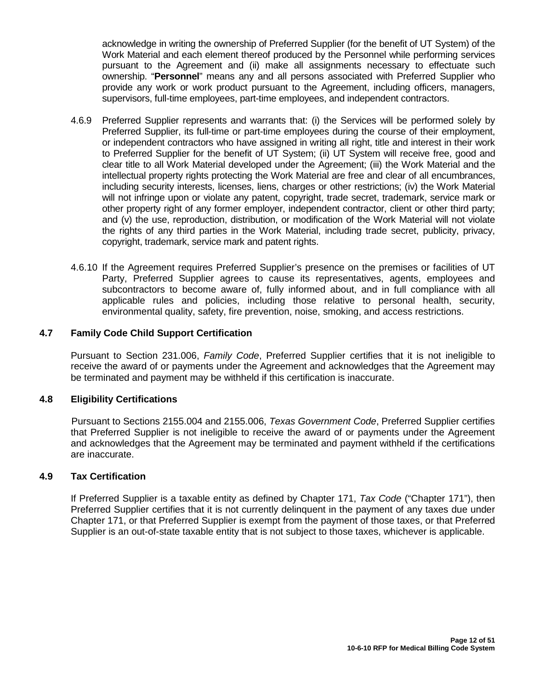acknowledge in writing the ownership of Preferred Supplier (for the benefit of UT System) of the Work Material and each element thereof produced by the Personnel while performing services pursuant to the Agreement and (ii) make all assignments necessary to effectuate such ownership. "**Personnel**" means any and all persons associated with Preferred Supplier who provide any work or work product pursuant to the Agreement, including officers, managers, supervisors, full-time employees, part-time employees, and independent contractors.

- 4.6.9 Preferred Supplier represents and warrants that: (i) the Services will be performed solely by Preferred Supplier, its full-time or part-time employees during the course of their employment, or independent contractors who have assigned in writing all right, title and interest in their work to Preferred Supplier for the benefit of UT System; (ii) UT System will receive free, good and clear title to all Work Material developed under the Agreement; (iii) the Work Material and the intellectual property rights protecting the Work Material are free and clear of all encumbrances, including security interests, licenses, liens, charges or other restrictions; (iv) the Work Material will not infringe upon or violate any patent, copyright, trade secret, trademark, service mark or other property right of any former employer, independent contractor, client or other third party; and (v) the use, reproduction, distribution, or modification of the Work Material will not violate the rights of any third parties in the Work Material, including trade secret, publicity, privacy, copyright, trademark, service mark and patent rights.
- 4.6.10 If the Agreement requires Preferred Supplier's presence on the premises or facilities of UT Party, Preferred Supplier agrees to cause its representatives, agents, employees and subcontractors to become aware of, fully informed about, and in full compliance with all applicable rules and policies, including those relative to personal health, security, environmental quality, safety, fire prevention, noise, smoking, and access restrictions.

### **4.7 Family Code Child Support Certification**

Pursuant to Section 231.006, *Family Code*, Preferred Supplier certifies that it is not ineligible to receive the award of or payments under the Agreement and acknowledges that the Agreement may be terminated and payment may be withheld if this certification is inaccurate.

#### **4.8 Eligibility Certifications**

Pursuant to Sections 2155.004 and 2155.006, *Texas Government Code*, Preferred Supplier certifies that Preferred Supplier is not ineligible to receive the award of or payments under the Agreement and acknowledges that the Agreement may be terminated and payment withheld if the certifications are inaccurate.

#### **4.9 Tax Certification**

If Preferred Supplier is a taxable entity as defined by Chapter 171, *Tax Code* ("Chapter 171"), then Preferred Supplier certifies that it is not currently delinquent in the payment of any taxes due under Chapter 171, or that Preferred Supplier is exempt from the payment of those taxes, or that Preferred Supplier is an out-of-state taxable entity that is not subject to those taxes, whichever is applicable.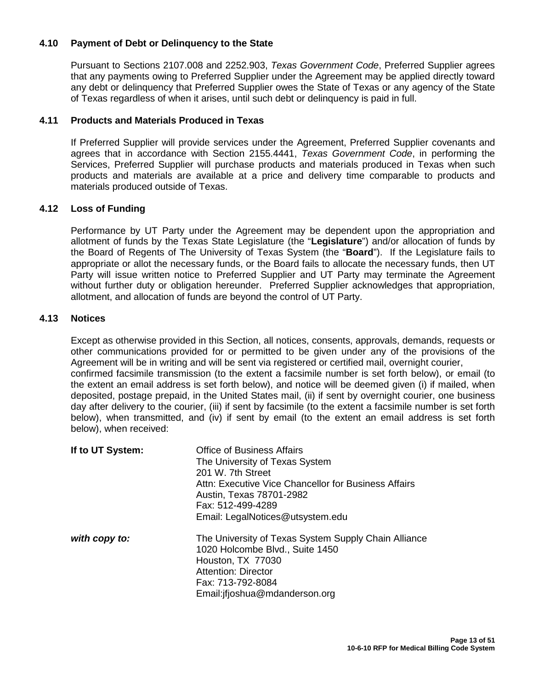### **4.10 Payment of Debt or Delinquency to the State**

Pursuant to Sections 2107.008 and 2252.903, *Texas Government Code*, Preferred Supplier agrees that any payments owing to Preferred Supplier under the Agreement may be applied directly toward any debt or delinquency that Preferred Supplier owes the State of Texas or any agency of the State of Texas regardless of when it arises, until such debt or delinquency is paid in full.

#### **4.11 Products and Materials Produced in Texas**

If Preferred Supplier will provide services under the Agreement, Preferred Supplier covenants and agrees that in accordance with Section 2155.4441, *Texas Government Code*, in performing the Services, Preferred Supplier will purchase products and materials produced in Texas when such products and materials are available at a price and delivery time comparable to products and materials produced outside of Texas.

#### **4.12 Loss of Funding**

Performance by UT Party under the Agreement may be dependent upon the appropriation and allotment of funds by the Texas State Legislature (the "**Legislature**") and/or allocation of funds by the Board of Regents of The University of Texas System (the "**Board**"). If the Legislature fails to appropriate or allot the necessary funds, or the Board fails to allocate the necessary funds, then UT Party will issue written notice to Preferred Supplier and UT Party may terminate the Agreement without further duty or obligation hereunder. Preferred Supplier acknowledges that appropriation, allotment, and allocation of funds are beyond the control of UT Party.

#### **4.13 Notices**

Except as otherwise provided in this Section, all notices, consents, approvals, demands, requests or other communications provided for or permitted to be given under any of the provisions of the Agreement will be in writing and will be sent via registered or certified mail, overnight courier, confirmed facsimile transmission (to the extent a facsimile number is set forth below), or email (to the extent an email address is set forth below), and notice will be deemed given (i) if mailed, when deposited, postage prepaid, in the United States mail, (ii) if sent by overnight courier, one business day after delivery to the courier, (iii) if sent by facsimile (to the extent a facsimile number is set forth below), when transmitted, and (iv) if sent by email (to the extent an email address is set forth below), when received:

| If to UT System: | <b>Office of Business Affairs</b><br>The University of Texas System<br>201 W. 7th Street<br>Attn: Executive Vice Chancellor for Business Affairs<br>Austin, Texas 78701-2982<br>Fax: 512-499-4289<br>Email: LegalNotices@utsystem.edu |
|------------------|---------------------------------------------------------------------------------------------------------------------------------------------------------------------------------------------------------------------------------------|
| with copy to:    | The University of Texas System Supply Chain Alliance<br>1020 Holcombe Blvd., Suite 1450<br>Houston, TX 77030<br>Attention: Director<br>Fax: 713-792-8084<br>Email: if joshua@mdanderson.org                                           |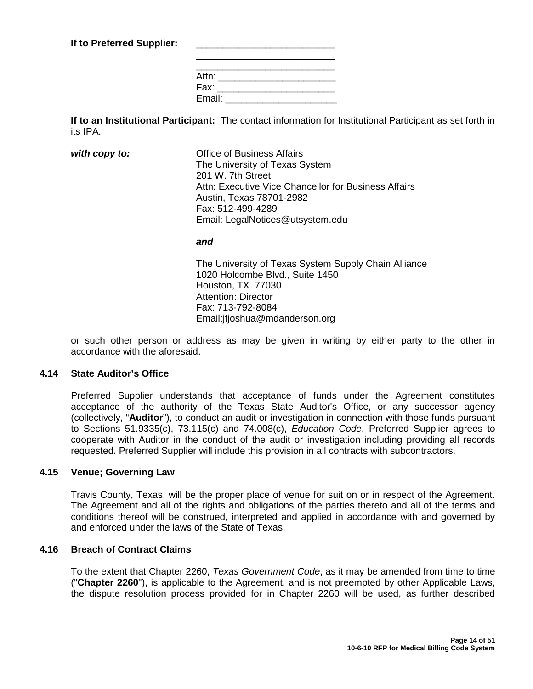If to Preferred Supplier:

| Attn:  |  |  |
|--------|--|--|
| Fax:   |  |  |
| Email: |  |  |

**If to an Institutional Participant:** The contact information for Institutional Participant as set forth in its IPA.

**with copy to:** Office of Business Affairs The University of Texas System 201 W. 7th Street Attn: Executive Vice Chancellor for Business Affairs Austin, Texas 78701-2982 Fax: 512-499-4289 Email: LegalNotices@utsystem.edu

*and*

The University of Texas System Supply Chain Alliance 1020 Holcombe Blvd., Suite 1450 Houston, TX 77030 Attention: Director Fax: 713-792-8084 Email:jfjoshua@mdanderson.org

or such other person or address as may be given in writing by either party to the other in accordance with the aforesaid.

### **4.14 State Auditor's Office**

Preferred Supplier understands that acceptance of funds under the Agreement constitutes acceptance of the authority of the Texas State Auditor's Office, or any successor agency (collectively, "**Auditor**"), to conduct an audit or investigation in connection with those funds pursuant to Sections 51.9335(c), 73.115(c) and 74.008(c), *Education Code*. Preferred Supplier agrees to cooperate with Auditor in the conduct of the audit or investigation including providing all records requested. Preferred Supplier will include this provision in all contracts with subcontractors.

#### **4.15 Venue; Governing Law**

Travis County, Texas, will be the proper place of venue for suit on or in respect of the Agreement. The Agreement and all of the rights and obligations of the parties thereto and all of the terms and conditions thereof will be construed, interpreted and applied in accordance with and governed by and enforced under the laws of the State of Texas.

#### **4.16 Breach of Contract Claims**

To the extent that Chapter 2260, *Texas Government Code*, as it may be amended from time to time ("**Chapter 2260**"), is applicable to the Agreement, and is not preempted by other Applicable Laws, the dispute resolution process provided for in Chapter 2260 will be used, as further described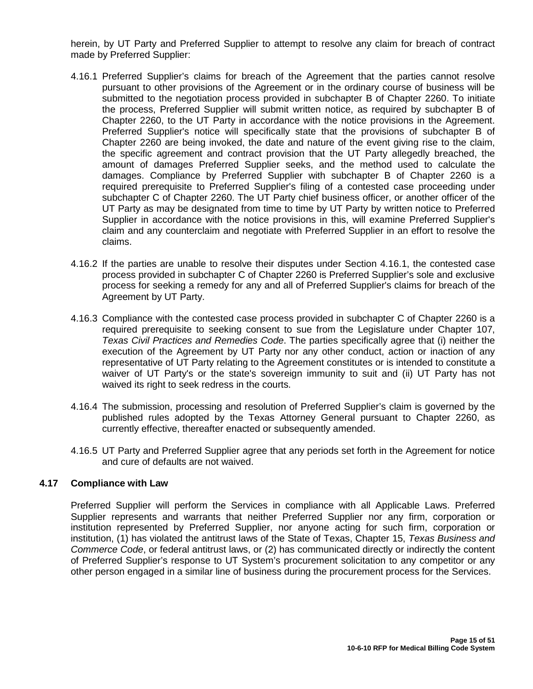herein, by UT Party and Preferred Supplier to attempt to resolve any claim for breach of contract made by Preferred Supplier:

- 4.16.1 Preferred Supplier's claims for breach of the Agreement that the parties cannot resolve pursuant to other provisions of the Agreement or in the ordinary course of business will be submitted to the negotiation process provided in subchapter B of Chapter 2260. To initiate the process, Preferred Supplier will submit written notice, as required by subchapter B of Chapter 2260, to the UT Party in accordance with the notice provisions in the Agreement. Preferred Supplier's notice will specifically state that the provisions of subchapter B of Chapter 2260 are being invoked, the date and nature of the event giving rise to the claim, the specific agreement and contract provision that the UT Party allegedly breached, the amount of damages Preferred Supplier seeks, and the method used to calculate the damages. Compliance by Preferred Supplier with subchapter B of Chapter 2260 is a required prerequisite to Preferred Supplier's filing of a contested case proceeding under subchapter C of Chapter 2260. The UT Party chief business officer, or another officer of the UT Party as may be designated from time to time by UT Party by written notice to Preferred Supplier in accordance with the notice provisions in this, will examine Preferred Supplier's claim and any counterclaim and negotiate with Preferred Supplier in an effort to resolve the claims.
- 4.16.2 If the parties are unable to resolve their disputes under Section 4.16.1, the contested case process provided in subchapter C of Chapter 2260 is Preferred Supplier's sole and exclusive process for seeking a remedy for any and all of Preferred Supplier's claims for breach of the Agreement by UT Party.
- 4.16.3 Compliance with the contested case process provided in subchapter C of Chapter 2260 is a required prerequisite to seeking consent to sue from the Legislature under Chapter 107, *Texas Civil Practices and Remedies Code*. The parties specifically agree that (i) neither the execution of the Agreement by UT Party nor any other conduct, action or inaction of any representative of UT Party relating to the Agreement constitutes or is intended to constitute a waiver of UT Party's or the state's sovereign immunity to suit and (ii) UT Party has not waived its right to seek redress in the courts.
- 4.16.4 The submission, processing and resolution of Preferred Supplier's claim is governed by the published rules adopted by the Texas Attorney General pursuant to Chapter 2260, as currently effective, thereafter enacted or subsequently amended.
- 4.16.5 UT Party and Preferred Supplier agree that any periods set forth in the Agreement for notice and cure of defaults are not waived.

# **4.17 Compliance with Law**

Preferred Supplier will perform the Services in compliance with all Applicable Laws. Preferred Supplier represents and warrants that neither Preferred Supplier nor any firm, corporation or institution represented by Preferred Supplier, nor anyone acting for such firm, corporation or institution, (1) has violated the antitrust laws of the State of Texas, Chapter 15, *Texas Business and Commerce Code*, or federal antitrust laws, or (2) has communicated directly or indirectly the content of Preferred Supplier's response to UT System's procurement solicitation to any competitor or any other person engaged in a similar line of business during the procurement process for the Services.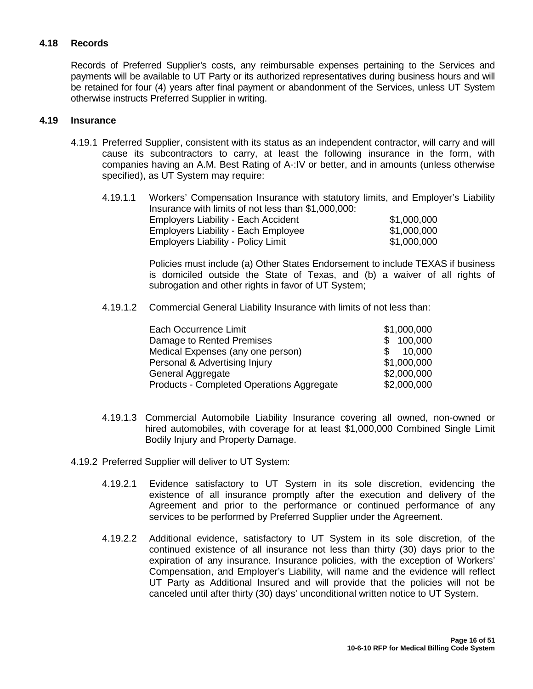# **4.18 Records**

Records of Preferred Supplier's costs, any reimbursable expenses pertaining to the Services and payments will be available to UT Party or its authorized representatives during business hours and will be retained for four (4) years after final payment or abandonment of the Services, unless UT System otherwise instructs Preferred Supplier in writing.

#### **4.19 Insurance**

4.19.1 Preferred Supplier, consistent with its status as an independent contractor, will carry and will cause its subcontractors to carry, at least the following insurance in the form, with companies having an A.M. Best Rating of A-:IV or better, and in amounts (unless otherwise specified), as UT System may require:

| 4.19.1.1 | Workers' Compensation Insurance with statutory limits, and Employer's Liability |             |
|----------|---------------------------------------------------------------------------------|-------------|
|          | Insurance with limits of not less than \$1,000,000:                             |             |
|          | Employers Liability - Each Accident                                             | \$1,000,000 |
|          | <b>Employers Liability - Each Employee</b>                                      | \$1,000,000 |
|          | <b>Employers Liability - Policy Limit</b>                                       | \$1,000,000 |

Policies must include (a) Other States Endorsement to include TEXAS if business is domiciled outside the State of Texas, and (b) a waiver of all rights of subrogation and other rights in favor of UT System;

4.19.1.2 Commercial General Liability Insurance with limits of not less than:

| Each Occurrence Limit                     | \$1,000,000             |
|-------------------------------------------|-------------------------|
| Damage to Rented Premises                 | \$100,000               |
| Medical Expenses (any one person)         | 10,000<br>$\mathcal{S}$ |
| Personal & Advertising Injury             | \$1,000,000             |
| General Aggregate                         | \$2,000,000             |
| Products - Completed Operations Aggregate | \$2,000,000             |

- 4.19.1.3 Commercial Automobile Liability Insurance covering all owned, non-owned or hired automobiles, with coverage for at least \$1,000,000 Combined Single Limit Bodily Injury and Property Damage.
- 4.19.2 Preferred Supplier will deliver to UT System:
	- 4.19.2.1 Evidence satisfactory to UT System in its sole discretion, evidencing the existence of all insurance promptly after the execution and delivery of the Agreement and prior to the performance or continued performance of any services to be performed by Preferred Supplier under the Agreement.
	- 4.19.2.2 Additional evidence, satisfactory to UT System in its sole discretion, of the continued existence of all insurance not less than thirty (30) days prior to the expiration of any insurance. Insurance policies, with the exception of Workers' Compensation, and Employer's Liability, will name and the evidence will reflect UT Party as Additional Insured and will provide that the policies will not be canceled until after thirty (30) days' unconditional written notice to UT System.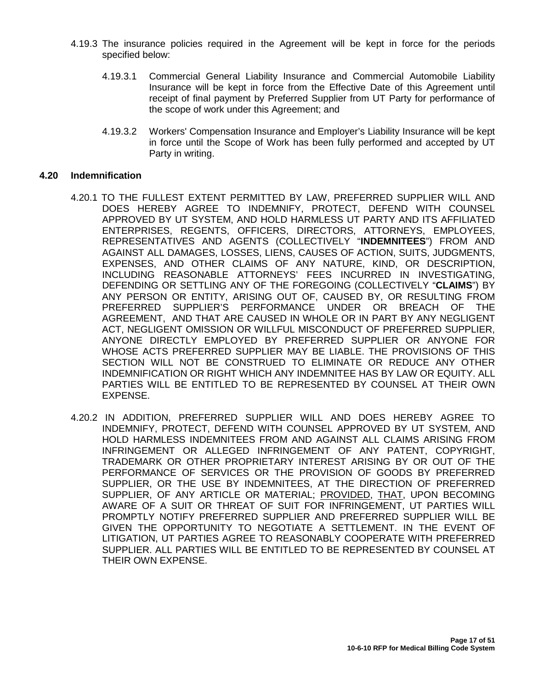- 4.19.3 The insurance policies required in the Agreement will be kept in force for the periods specified below:
	- 4.19.3.1 Commercial General Liability Insurance and Commercial Automobile Liability Insurance will be kept in force from the Effective Date of this Agreement until receipt of final payment by Preferred Supplier from UT Party for performance of the scope of work under this Agreement; and
	- 4.19.3.2 Workers' Compensation Insurance and Employer's Liability Insurance will be kept in force until the Scope of Work has been fully performed and accepted by UT Party in writing.

### **4.20 Indemnification**

- 4.20.1 TO THE FULLEST EXTENT PERMITTED BY LAW, PREFERRED SUPPLIER WILL AND DOES HEREBY AGREE TO INDEMNIFY, PROTECT, DEFEND WITH COUNSEL APPROVED BY UT SYSTEM, AND HOLD HARMLESS UT PARTY AND ITS AFFILIATED ENTERPRISES, REGENTS, OFFICERS, DIRECTORS, ATTORNEYS, EMPLOYEES, REPRESENTATIVES AND AGENTS (COLLECTIVELY "**INDEMNITEES**") FROM AND AGAINST ALL DAMAGES, LOSSES, LIENS, CAUSES OF ACTION, SUITS, JUDGMENTS, EXPENSES, AND OTHER CLAIMS OF ANY NATURE, KIND, OR DESCRIPTION, INCLUDING REASONABLE ATTORNEYS' FEES INCURRED IN INVESTIGATING, DEFENDING OR SETTLING ANY OF THE FOREGOING (COLLECTIVELY "**CLAIMS**") BY ANY PERSON OR ENTITY, ARISING OUT OF, CAUSED BY, OR RESULTING FROM PREFERRED SUPPLIER'S PERFORMANCE UNDER OR BREACH OF THE AGREEMENT, AND THAT ARE CAUSED IN WHOLE OR IN PART BY ANY NEGLIGENT ACT, NEGLIGENT OMISSION OR WILLFUL MISCONDUCT OF PREFERRED SUPPLIER, ANYONE DIRECTLY EMPLOYED BY PREFERRED SUPPLIER OR ANYONE FOR WHOSE ACTS PREFERRED SUPPLIER MAY BE LIABLE. THE PROVISIONS OF THIS SECTION WILL NOT BE CONSTRUED TO ELIMINATE OR REDUCE ANY OTHER INDEMNIFICATION OR RIGHT WHICH ANY INDEMNITEE HAS BY LAW OR EQUITY. ALL PARTIES WILL BE ENTITLED TO BE REPRESENTED BY COUNSEL AT THEIR OWN EXPENSE.
- 4.20.2 IN ADDITION, PREFERRED SUPPLIER WILL AND DOES HEREBY AGREE TO INDEMNIFY, PROTECT, DEFEND WITH COUNSEL APPROVED BY UT SYSTEM, AND HOLD HARMLESS INDEMNITEES FROM AND AGAINST ALL CLAIMS ARISING FROM INFRINGEMENT OR ALLEGED INFRINGEMENT OF ANY PATENT, COPYRIGHT, TRADEMARK OR OTHER PROPRIETARY INTEREST ARISING BY OR OUT OF THE PERFORMANCE OF SERVICES OR THE PROVISION OF GOODS BY PREFERRED SUPPLIER, OR THE USE BY INDEMNITEES, AT THE DIRECTION OF PREFERRED SUPPLIER, OF ANY ARTICLE OR MATERIAL; PROVIDED, THAT, UPON BECOMING AWARE OF A SUIT OR THREAT OF SUIT FOR INFRINGEMENT, UT PARTIES WILL PROMPTLY NOTIFY PREFERRED SUPPLIER AND PREFERRED SUPPLIER WILL BE GIVEN THE OPPORTUNITY TO NEGOTIATE A SETTLEMENT. IN THE EVENT OF LITIGATION, UT PARTIES AGREE TO REASONABLY COOPERATE WITH PREFERRED SUPPLIER. ALL PARTIES WILL BE ENTITLED TO BE REPRESENTED BY COUNSEL AT THEIR OWN EXPENSE.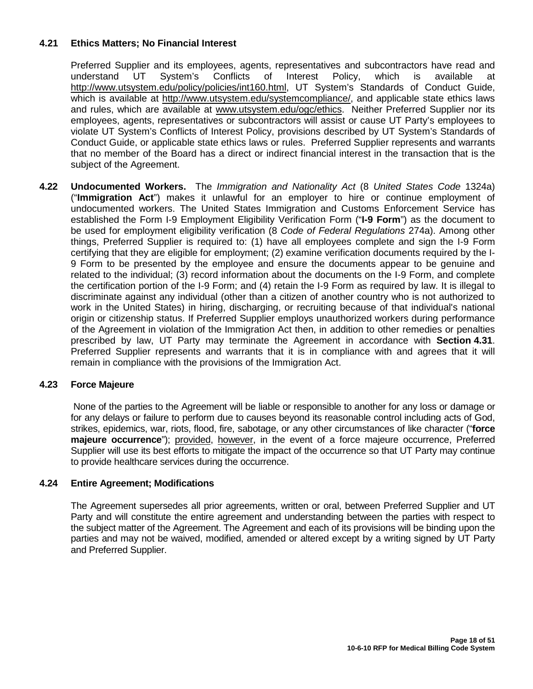# **4.21 Ethics Matters; No Financial Interest**

Preferred Supplier and its employees, agents, representatives and subcontractors have read and understand UT System's Conflicts of Interest Policy, which is available at [http://www.utsystem.edu/policy/policies/int160.html,](http://www.utsystem.edu/policy/policies/int160.html) UT System's Standards of Conduct Guide, which is available at [http://www.utsystem.edu/systemcompliance/,](http://www.utsystem.edu/systemcompliance/) and applicable state ethics laws and rules, which are available at [www.utsystem.edu/ogc/ethics.](http://www.utsystem.edu/ogc/ethics) Neither Preferred Supplier nor its employees, agents, representatives or subcontractors will assist or cause UT Party's employees to violate UT System's Conflicts of Interest Policy, provisions described by UT System's Standards of Conduct Guide, or applicable state ethics laws or rules. Preferred Supplier represents and warrants that no member of the Board has a direct or indirect financial interest in the transaction that is the subject of the Agreement.

**4.22 Undocumented Workers.** The *Immigration and Nationality Act* (8 *United States Code* 1324a) ("**Immigration Act**") makes it unlawful for an employer to hire or continue employment of undocumented workers. The United States Immigration and Customs Enforcement Service has established the Form I-9 Employment Eligibility Verification Form ("**I-9 Form**") as the document to be used for employment eligibility verification (8 *Code of Federal Regulations* 274a). Among other things, Preferred Supplier is required to: (1) have all employees complete and sign the I-9 Form certifying that they are eligible for employment; (2) examine verification documents required by the I-9 Form to be presented by the employee and ensure the documents appear to be genuine and related to the individual; (3) record information about the documents on the I-9 Form, and complete the certification portion of the I-9 Form; and (4) retain the I-9 Form as required by law. It is illegal to discriminate against any individual (other than a citizen of another country who is not authorized to work in the United States) in hiring, discharging, or recruiting because of that individual's national origin or citizenship status. If Preferred Supplier employs unauthorized workers during performance of the Agreement in violation of the Immigration Act then, in addition to other remedies or penalties prescribed by law, UT Party may terminate the Agreement in accordance with **Section 4.31**. Preferred Supplier represents and warrants that it is in compliance with and agrees that it will remain in compliance with the provisions of the Immigration Act.

# **4.23 Force Majeure**

None of the parties to the Agreement will be liable or responsible to another for any loss or damage or for any delays or failure to perform due to causes beyond its reasonable control including acts of God, strikes, epidemics, war, riots, flood, fire, sabotage, or any other circumstances of like character ("**force majeure occurrence**"); provided, however, in the event of a force majeure occurrence, Preferred Supplier will use its best efforts to mitigate the impact of the occurrence so that UT Party may continue to provide healthcare services during the occurrence.

# **4.24 Entire Agreement; Modifications**

The Agreement supersedes all prior agreements, written or oral, between Preferred Supplier and UT Party and will constitute the entire agreement and understanding between the parties with respect to the subject matter of the Agreement. The Agreement and each of its provisions will be binding upon the parties and may not be waived, modified, amended or altered except by a writing signed by UT Party and Preferred Supplier.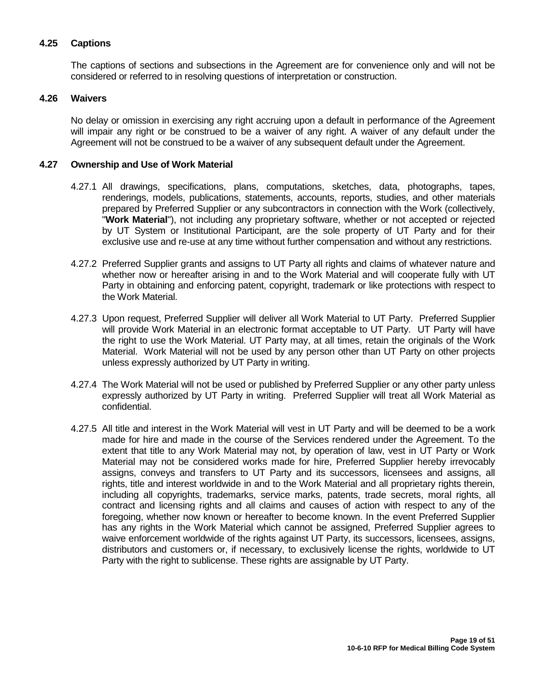### **4.25 Captions**

The captions of sections and subsections in the Agreement are for convenience only and will not be considered or referred to in resolving questions of interpretation or construction.

#### **4.26 Waivers**

No delay or omission in exercising any right accruing upon a default in performance of the Agreement will impair any right or be construed to be a waiver of any right. A waiver of any default under the Agreement will not be construed to be a waiver of any subsequent default under the Agreement.

#### **4.27 Ownership and Use of Work Material**

- 4.27.1 All drawings, specifications, plans, computations, sketches, data, photographs, tapes, renderings, models, publications, statements, accounts, reports, studies, and other materials prepared by Preferred Supplier or any subcontractors in connection with the Work (collectively, "**Work Material**"), not including any proprietary software, whether or not accepted or rejected by UT System or Institutional Participant, are the sole property of UT Party and for their exclusive use and re-use at any time without further compensation and without any restrictions.
- 4.27.2 Preferred Supplier grants and assigns to UT Party all rights and claims of whatever nature and whether now or hereafter arising in and to the Work Material and will cooperate fully with UT Party in obtaining and enforcing patent, copyright, trademark or like protections with respect to the Work Material.
- 4.27.3 Upon request, Preferred Supplier will deliver all Work Material to UT Party. Preferred Supplier will provide Work Material in an electronic format acceptable to UT Party. UT Party will have the right to use the Work Material. UT Party may, at all times, retain the originals of the Work Material. Work Material will not be used by any person other than UT Party on other projects unless expressly authorized by UT Party in writing.
- 4.27.4 The Work Material will not be used or published by Preferred Supplier or any other party unless expressly authorized by UT Party in writing. Preferred Supplier will treat all Work Material as confidential.
- 4.27.5 All title and interest in the Work Material will vest in UT Party and will be deemed to be a work made for hire and made in the course of the Services rendered under the Agreement. To the extent that title to any Work Material may not, by operation of law, vest in UT Party or Work Material may not be considered works made for hire, Preferred Supplier hereby irrevocably assigns, conveys and transfers to UT Party and its successors, licensees and assigns, all rights, title and interest worldwide in and to the Work Material and all proprietary rights therein, including all copyrights, trademarks, service marks, patents, trade secrets, moral rights, all contract and licensing rights and all claims and causes of action with respect to any of the foregoing, whether now known or hereafter to become known. In the event Preferred Supplier has any rights in the Work Material which cannot be assigned, Preferred Supplier agrees to waive enforcement worldwide of the rights against UT Party, its successors, licensees, assigns, distributors and customers or, if necessary, to exclusively license the rights, worldwide to UT Party with the right to sublicense. These rights are assignable by UT Party.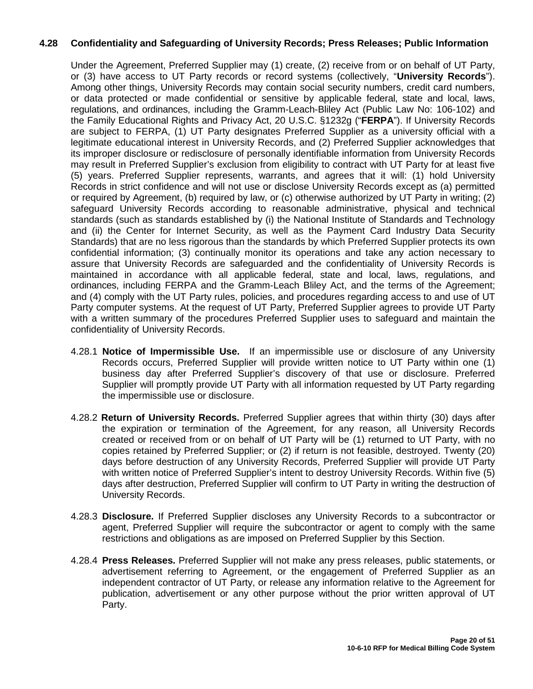# **4.28 Confidentiality and Safeguarding of University Records; Press Releases; Public Information**

Under the Agreement, Preferred Supplier may (1) create, (2) receive from or on behalf of UT Party, or (3) have access to UT Party records or record systems (collectively, "**University Records**"). Among other things, University Records may contain social security numbers, credit card numbers, or data protected or made confidential or sensitive by applicable federal, state and local, laws, regulations, and ordinances, including the Gramm-Leach-Bliley Act (Public Law No: 106-102) and the Family Educational Rights and Privacy Act, 20 U.S.C. §1232g ("**FERPA**"). If University Records are subject to FERPA, (1) UT Party designates Preferred Supplier as a university official with a legitimate educational interest in University Records, and (2) Preferred Supplier acknowledges that its improper disclosure or redisclosure of personally identifiable information from University Records may result in Preferred Supplier's exclusion from eligibility to contract with UT Party for at least five (5) years. Preferred Supplier represents, warrants, and agrees that it will: (1) hold University Records in strict confidence and will not use or disclose University Records except as (a) permitted or required by Agreement, (b) required by law, or (c) otherwise authorized by UT Party in writing; (2) safeguard University Records according to reasonable administrative, physical and technical standards (such as standards established by (i) the National Institute of Standards and Technology and (ii) the Center for Internet Security, as well as the Payment Card Industry Data Security Standards) that are no less rigorous than the standards by which Preferred Supplier protects its own confidential information; (3) continually monitor its operations and take any action necessary to assure that University Records are safeguarded and the confidentiality of University Records is maintained in accordance with all applicable federal, state and local, laws, regulations, and ordinances, including FERPA and the Gramm-Leach Bliley Act, and the terms of the Agreement; and (4) comply with the UT Party rules, policies, and procedures regarding access to and use of UT Party computer systems. At the request of UT Party, Preferred Supplier agrees to provide UT Party with a written summary of the procedures Preferred Supplier uses to safeguard and maintain the confidentiality of University Records.

- 4.28.1 **Notice of Impermissible Use.** If an impermissible use or disclosure of any University Records occurs, Preferred Supplier will provide written notice to UT Party within one (1) business day after Preferred Supplier's discovery of that use or disclosure. Preferred Supplier will promptly provide UT Party with all information requested by UT Party regarding the impermissible use or disclosure.
- 4.28.2 **Return of University Records.** Preferred Supplier agrees that within thirty (30) days after the expiration or termination of the Agreement, for any reason, all University Records created or received from or on behalf of UT Party will be (1) returned to UT Party, with no copies retained by Preferred Supplier; or (2) if return is not feasible, destroyed. Twenty (20) days before destruction of any University Records, Preferred Supplier will provide UT Party with written notice of Preferred Supplier's intent to destroy University Records. Within five (5) days after destruction, Preferred Supplier will confirm to UT Party in writing the destruction of University Records.
- 4.28.3 **Disclosure.** If Preferred Supplier discloses any University Records to a subcontractor or agent, Preferred Supplier will require the subcontractor or agent to comply with the same restrictions and obligations as are imposed on Preferred Supplier by this Section.
- 4.28.4 **Press Releases.** Preferred Supplier will not make any press releases, public statements, or advertisement referring to Agreement, or the engagement of Preferred Supplier as an independent contractor of UT Party, or release any information relative to the Agreement for publication, advertisement or any other purpose without the prior written approval of UT Party.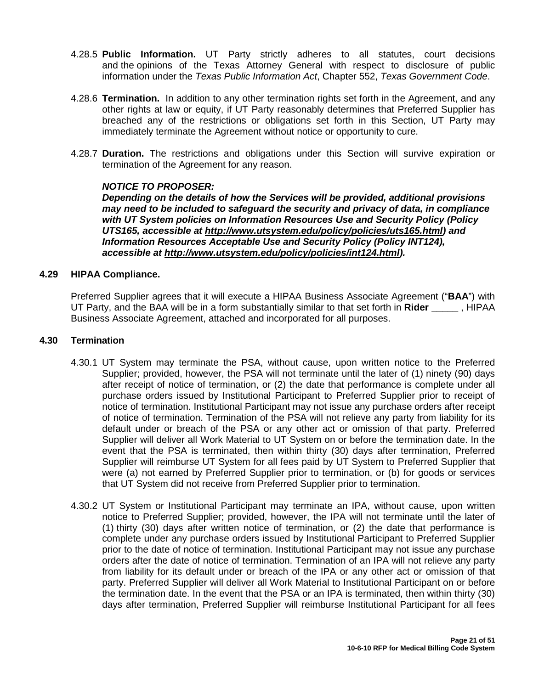- 4.28.5 **Public Information.** UT Party strictly adheres to all statutes, court decisions and the opinions of the Texas Attorney General with respect to disclosure of public information under the *Texas Public Information Act*, Chapter 552, *Texas Government Code*.
- 4.28.6 **Termination.** In addition to any other termination rights set forth in the Agreement, and any other rights at law or equity, if UT Party reasonably determines that Preferred Supplier has breached any of the restrictions or obligations set forth in this Section, UT Party may immediately terminate the Agreement without notice or opportunity to cure.
- 4.28.7 **Duration.** The restrictions and obligations under this Section will survive expiration or termination of the Agreement for any reason.

### *NOTICE TO PROPOSER:*

*Depending on the details of how the Services will be provided, additional provisions may need to be included to safeguard the security and privacy of data, in compliance with UT System policies on Information Resources Use and Security Policy (Policy UTS165, accessible at [http://www.utsystem.edu/policy/policies/uts165.html\)](http://www.utsystem.edu/policy/policies/uts165.html) and Information Resources Acceptable Use and Security Policy (Policy INT124), accessible at [http://www.utsystem.edu/policy/policies/int124.html\)](http://www.utsystem.edu/policy/policies/int124.html).*

#### **4.29 HIPAA Compliance.**

Preferred Supplier agrees that it will execute a HIPAA Business Associate Agreement ("**BAA**") with UT Party, and the BAA will be in a form substantially similar to that set forth in **Rider \_\_\_\_\_** , HIPAA Business Associate Agreement, attached and incorporated for all purposes.

#### **4.30 Termination**

- 4.30.1 UT System may terminate the PSA, without cause, upon written notice to the Preferred Supplier; provided, however, the PSA will not terminate until the later of (1) ninety (90) days after receipt of notice of termination, or (2) the date that performance is complete under all purchase orders issued by Institutional Participant to Preferred Supplier prior to receipt of notice of termination. Institutional Participant may not issue any purchase orders after receipt of notice of termination. Termination of the PSA will not relieve any party from liability for its default under or breach of the PSA or any other act or omission of that party. Preferred Supplier will deliver all Work Material to UT System on or before the termination date. In the event that the PSA is terminated, then within thirty (30) days after termination, Preferred Supplier will reimburse UT System for all fees paid by UT System to Preferred Supplier that were (a) not earned by Preferred Supplier prior to termination, or (b) for goods or services that UT System did not receive from Preferred Supplier prior to termination.
- 4.30.2 UT System or Institutional Participant may terminate an IPA, without cause, upon written notice to Preferred Supplier; provided, however, the IPA will not terminate until the later of (1) thirty (30) days after written notice of termination, or (2) the date that performance is complete under any purchase orders issued by Institutional Participant to Preferred Supplier prior to the date of notice of termination. Institutional Participant may not issue any purchase orders after the date of notice of termination. Termination of an IPA will not relieve any party from liability for its default under or breach of the IPA or any other act or omission of that party. Preferred Supplier will deliver all Work Material to Institutional Participant on or before the termination date. In the event that the PSA or an IPA is terminated, then within thirty (30) days after termination, Preferred Supplier will reimburse Institutional Participant for all fees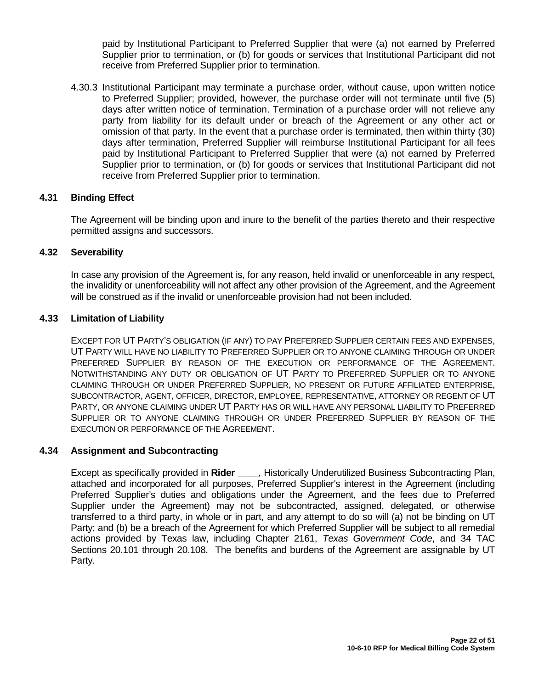paid by Institutional Participant to Preferred Supplier that were (a) not earned by Preferred Supplier prior to termination, or (b) for goods or services that Institutional Participant did not receive from Preferred Supplier prior to termination.

4.30.3 Institutional Participant may terminate a purchase order, without cause, upon written notice to Preferred Supplier; provided, however, the purchase order will not terminate until five (5) days after written notice of termination. Termination of a purchase order will not relieve any party from liability for its default under or breach of the Agreement or any other act or omission of that party. In the event that a purchase order is terminated, then within thirty (30) days after termination, Preferred Supplier will reimburse Institutional Participant for all fees paid by Institutional Participant to Preferred Supplier that were (a) not earned by Preferred Supplier prior to termination, or (b) for goods or services that Institutional Participant did not receive from Preferred Supplier prior to termination.

### **4.31 Binding Effect**

The Agreement will be binding upon and inure to the benefit of the parties thereto and their respective permitted assigns and successors.

### **4.32 Severability**

In case any provision of the Agreement is, for any reason, held invalid or unenforceable in any respect, the invalidity or unenforceability will not affect any other provision of the Agreement, and the Agreement will be construed as if the invalid or unenforceable provision had not been included.

### **4.33 Limitation of Liability**

EXCEPT FOR UT PARTY'S OBLIGATION (IF ANY) TO PAY PREFERRED SUPPLIER CERTAIN FEES AND EXPENSES, UT PARTY WILL HAVE NO LIABILITY TO PREFERRED SUPPLIER OR TO ANYONE CLAIMING THROUGH OR UNDER PREFERRED SUPPLIER BY REASON OF THE EXECUTION OR PERFORMANCE OF THE AGREEMENT. NOTWITHSTANDING ANY DUTY OR OBLIGATION OF UT PARTY TO PREFERRED SUPPLIER OR TO ANYONE CLAIMING THROUGH OR UNDER PREFERRED SUPPLIER, NO PRESENT OR FUTURE AFFILIATED ENTERPRISE, SUBCONTRACTOR, AGENT, OFFICER, DIRECTOR, EMPLOYEE, REPRESENTATIVE, ATTORNEY OR REGENT OF UT PARTY, OR ANYONE CLAIMING UNDER UT PARTY HAS OR WILL HAVE ANY PERSONAL LIABILITY TO PREFERRED SUPPLIER OR TO ANYONE CLAIMING THROUGH OR UNDER PREFERRED SUPPLIER BY REASON OF THE EXECUTION OR PERFORMANCE OF THE AGREEMENT.

#### **4.34 Assignment and Subcontracting**

Except as specifically provided in **Rider \_\_\_\_**, Historically Underutilized Business Subcontracting Plan, attached and incorporated for all purposes, Preferred Supplier's interest in the Agreement (including Preferred Supplier's duties and obligations under the Agreement, and the fees due to Preferred Supplier under the Agreement) may not be subcontracted, assigned, delegated, or otherwise transferred to a third party, in whole or in part, and any attempt to do so will (a) not be binding on UT Party; and (b) be a breach of the Agreement for which Preferred Supplier will be subject to all remedial actions provided by Texas law, including Chapter 2161, *Texas Government Code*, and 34 TAC Sections 20.101 through 20.108. The benefits and burdens of the Agreement are assignable by UT Party.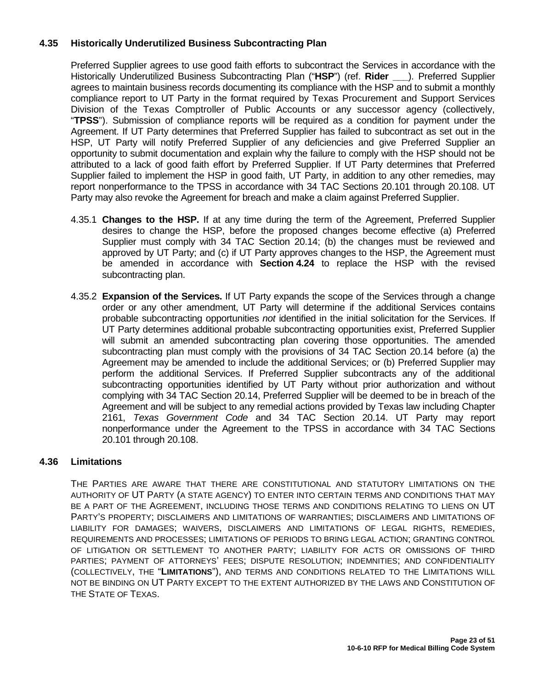# **4.35 Historically Underutilized Business Subcontracting Plan**

Preferred Supplier agrees to use good faith efforts to subcontract the Services in accordance with the Historically Underutilized Business Subcontracting Plan ("**HSP**") (ref. **Rider \_\_\_**). Preferred Supplier agrees to maintain business records documenting its compliance with the HSP and to submit a monthly compliance report to UT Party in the format required by Texas Procurement and Support Services Division of the Texas Comptroller of Public Accounts or any successor agency (collectively, "**TPSS**"). Submission of compliance reports will be required as a condition for payment under the Agreement. If UT Party determines that Preferred Supplier has failed to subcontract as set out in the HSP, UT Party will notify Preferred Supplier of any deficiencies and give Preferred Supplier an opportunity to submit documentation and explain why the failure to comply with the HSP should not be attributed to a lack of good faith effort by Preferred Supplier. If UT Party determines that Preferred Supplier failed to implement the HSP in good faith, UT Party, in addition to any other remedies, may report nonperformance to the TPSS in accordance with 34 TAC Sections 20.101 through 20.108. UT Party may also revoke the Agreement for breach and make a claim against Preferred Supplier.

- 4.35.1 **Changes to the HSP.** If at any time during the term of the Agreement, Preferred Supplier desires to change the HSP, before the proposed changes become effective (a) Preferred Supplier must comply with 34 TAC Section 20.14; (b) the changes must be reviewed and approved by UT Party; and (c) if UT Party approves changes to the HSP, the Agreement must be amended in accordance with **Section 4.24** to replace the HSP with the revised subcontracting plan.
- 4.35.2 **Expansion of the Services.** If UT Party expands the scope of the Services through a change order or any other amendment, UT Party will determine if the additional Services contains probable subcontracting opportunities *not* identified in the initial solicitation for the Services. If UT Party determines additional probable subcontracting opportunities exist, Preferred Supplier will submit an amended subcontracting plan covering those opportunities. The amended subcontracting plan must comply with the provisions of 34 TAC Section 20.14 before (a) the Agreement may be amended to include the additional Services; or (b) Preferred Supplier may perform the additional Services. If Preferred Supplier subcontracts any of the additional subcontracting opportunities identified by UT Party without prior authorization and without complying with 34 TAC Section 20.14, Preferred Supplier will be deemed to be in breach of the Agreement and will be subject to any remedial actions provided by Texas law including Chapter 2161, *Texas Government Code* and 34 TAC Section 20.14. UT Party may report nonperformance under the Agreement to the TPSS in accordance with 34 TAC Sections 20.101 through 20.108.

# **4.36 Limitations**

THE PARTIES ARE AWARE THAT THERE ARE CONSTITUTIONAL AND STATUTORY LIMITATIONS ON THE AUTHORITY OF UT PARTY (A STATE AGENCY) TO ENTER INTO CERTAIN TERMS AND CONDITIONS THAT MAY BE A PART OF THE AGREEMENT, INCLUDING THOSE TERMS AND CONDITIONS RELATING TO LIENS ON UT PARTY'S PROPERTY; DISCLAIMERS AND LIMITATIONS OF WARRANTIES; DISCLAIMERS AND LIMITATIONS OF LIABILITY FOR DAMAGES; WAIVERS, DISCLAIMERS AND LIMITATIONS OF LEGAL RIGHTS, REMEDIES, REQUIREMENTS AND PROCESSES; LIMITATIONS OF PERIODS TO BRING LEGAL ACTION; GRANTING CONTROL OF LITIGATION OR SETTLEMENT TO ANOTHER PARTY; LIABILITY FOR ACTS OR OMISSIONS OF THIRD PARTIES; PAYMENT OF ATTORNEYS' FEES; DISPUTE RESOLUTION; INDEMNITIES; AND CONFIDENTIALITY (COLLECTIVELY, THE "**LIMITATIONS**"), AND TERMS AND CONDITIONS RELATED TO THE LIMITATIONS WILL NOT BE BINDING ON UT PARTY EXCEPT TO THE EXTENT AUTHORIZED BY THE LAWS AND CONSTITUTION OF THE STATE OF TEXAS.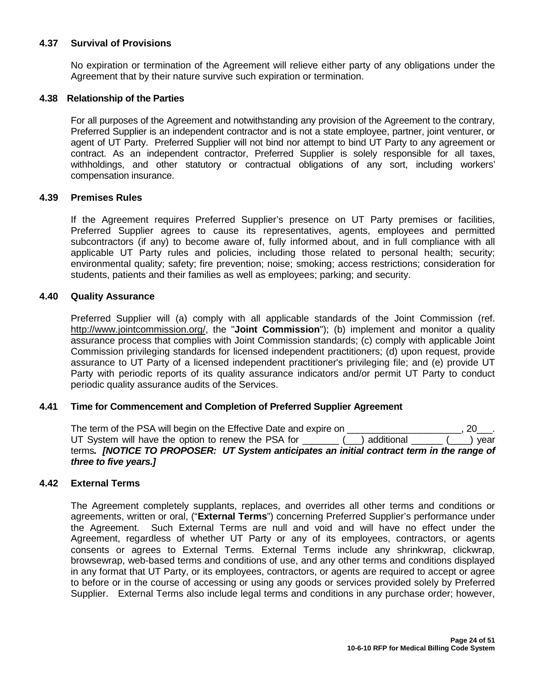### **4.37 Survival of Provisions**

No expiration or termination of the Agreement will relieve either party of any obligations under the Agreement that by their nature survive such expiration or termination.

#### **4.38 Relationship of the Parties**

For all purposes of the Agreement and notwithstanding any provision of the Agreement to the contrary, Preferred Supplier is an independent contractor and is not a state employee, partner, joint venturer, or agent of UT Party. Preferred Supplier will not bind nor attempt to bind UT Party to any agreement or contract. As an independent contractor, Preferred Supplier is solely responsible for all taxes, withholdings, and other statutory or contractual obligations of any sort, including workers' compensation insurance.

#### **4.39 Premises Rules**

If the Agreement requires Preferred Supplier's presence on UT Party premises or facilities, Preferred Supplier agrees to cause its representatives, agents, employees and permitted subcontractors (if any) to become aware of, fully informed about, and in full compliance with all applicable UT Party rules and policies, including those related to personal health; security; environmental quality; safety; fire prevention; noise; smoking; access restrictions; consideration for students, patients and their families as well as employees; parking; and security.

#### **4.40 Quality Assurance**

Preferred Supplier will (a) comply with all applicable standards of the Joint Commission (ref. [http://www.jointcommission.org/,](http://www.jointcommission.org/) the "**Joint Commission**"); (b) implement and monitor a quality assurance process that complies with Joint Commission standards; (c) comply with applicable Joint Commission privileging standards for licensed independent practitioners; (d) upon request, provide assurance to UT Party of a licensed independent practitioner's privileging file; and (e) provide UT Party with periodic reports of its quality assurance indicators and/or permit UT Party to conduct periodic quality assurance audits of the Services.

#### **4.41 Time for Commencement and Completion of Preferred Supplier Agreement**

The term of the PSA will begin on the Effective Date and expire on  $\sim$  . 20 UT System will have the option to renew the PSA for  $($  ) additional  $($  ) year terms*. [NOTICE TO PROPOSER: UT System anticipates an initial contract term in the range of three to five years.]*

#### **4.42 External Terms**

The Agreement completely supplants, replaces, and overrides all other terms and conditions or agreements, written or oral, ("**External Terms**") concerning Preferred Supplier's performance under the Agreement. Such External Terms are null and void and will have no effect under the Agreement, regardless of whether UT Party or any of its employees, contractors, or agents consents or agrees to External Terms. External Terms include any shrinkwrap, clickwrap, browsewrap, web-based terms and conditions of use, and any other terms and conditions displayed in any format that UT Party, or its employees, contractors, or agents are required to accept or agree to before or in the course of accessing or using any goods or services provided solely by Preferred Supplier. External Terms also include legal terms and conditions in any purchase order; however,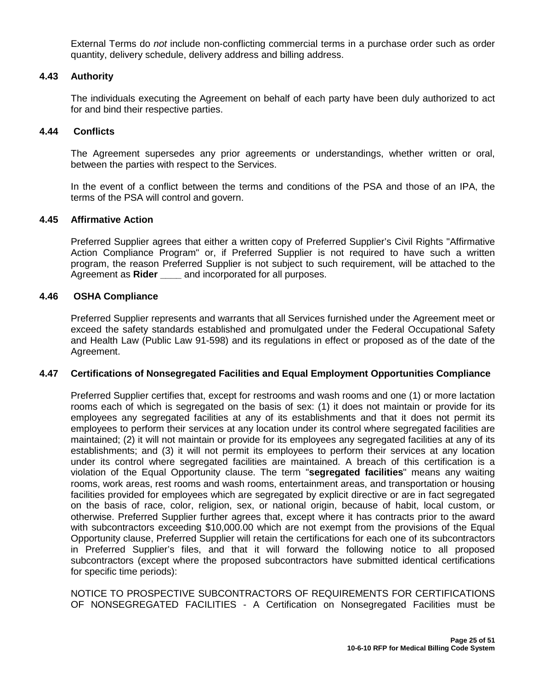External Terms do *not* include non-conflicting commercial terms in a purchase order such as order quantity, delivery schedule, delivery address and billing address.

#### **4.43 Authority**

The individuals executing the Agreement on behalf of each party have been duly authorized to act for and bind their respective parties.

### **4.44 Conflicts**

The Agreement supersedes any prior agreements or understandings, whether written or oral, between the parties with respect to the Services.

In the event of a conflict between the terms and conditions of the PSA and those of an IPA, the terms of the PSA will control and govern.

#### **4.45 Affirmative Action**

Preferred Supplier agrees that either a written copy of Preferred Supplier's Civil Rights "Affirmative Action Compliance Program" or, if Preferred Supplier is not required to have such a written program, the reason Preferred Supplier is not subject to such requirement, will be attached to the Agreement as **Rider \_\_\_\_** and incorporated for all purposes.

#### **4.46 OSHA Compliance**

Preferred Supplier represents and warrants that all Services furnished under the Agreement meet or exceed the safety standards established and promulgated under the Federal Occupational Safety and Health Law (Public Law 91-598) and its regulations in effect or proposed as of the date of the Agreement.

#### **4.47 Certifications of Nonsegregated Facilities and Equal Employment Opportunities Compliance**

Preferred Supplier certifies that, except for restrooms and wash rooms and one (1) or more lactation rooms each of which is segregated on the basis of sex: (1) it does not maintain or provide for its employees any segregated facilities at any of its establishments and that it does not permit its employees to perform their services at any location under its control where segregated facilities are maintained; (2) it will not maintain or provide for its employees any segregated facilities at any of its establishments; and (3) it will not permit its employees to perform their services at any location under its control where segregated facilities are maintained. A breach of this certification is a violation of the Equal Opportunity clause. The term "**segregated facilities**" means any waiting rooms, work areas, rest rooms and wash rooms, entertainment areas, and transportation or housing facilities provided for employees which are segregated by explicit directive or are in fact segregated on the basis of race, color, religion, sex, or national origin, because of habit, local custom, or otherwise. Preferred Supplier further agrees that, except where it has contracts prior to the award with subcontractors exceeding \$10,000.00 which are not exempt from the provisions of the Equal Opportunity clause, Preferred Supplier will retain the certifications for each one of its subcontractors in Preferred Supplier's files, and that it will forward the following notice to all proposed subcontractors (except where the proposed subcontractors have submitted identical certifications for specific time periods):

NOTICE TO PROSPECTIVE SUBCONTRACTORS OF REQUIREMENTS FOR CERTIFICATIONS OF NONSEGREGATED FACILITIES - A Certification on Nonsegregated Facilities must be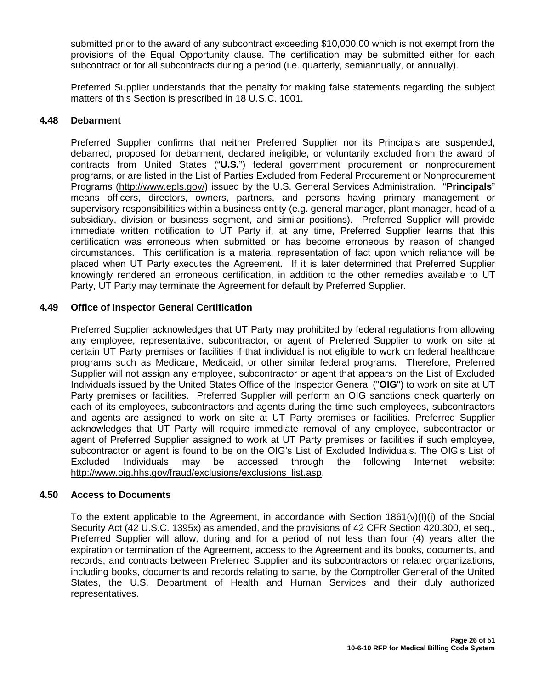submitted prior to the award of any subcontract exceeding \$10,000.00 which is not exempt from the provisions of the Equal Opportunity clause. The certification may be submitted either for each subcontract or for all subcontracts during a period (i.e. quarterly, semiannually, or annually).

Preferred Supplier understands that the penalty for making false statements regarding the subject matters of this Section is prescribed in 18 U.S.C. 1001.

#### **4.48 Debarment**

Preferred Supplier confirms that neither Preferred Supplier nor its Principals are suspended, debarred, proposed for debarment, declared ineligible, or voluntarily excluded from the award of contracts from United States ("**U.S.**") federal government procurement or nonprocurement programs, or are listed in the List of Parties Excluded from Federal Procurement or Nonprocurement Programs [\(http://www.epls.gov/\)](http://www.epls.gov/) issued by the U.S. General Services Administration. "**Principals**" means officers, directors, owners, partners, and persons having primary management or supervisory responsibilities within a business entity (e.g. general manager, plant manager, head of a subsidiary, division or business segment, and similar positions). Preferred Supplier will provide immediate written notification to UT Party if, at any time, Preferred Supplier learns that this certification was erroneous when submitted or has become erroneous by reason of changed circumstances. This certification is a material representation of fact upon which reliance will be placed when UT Party executes the Agreement. If it is later determined that Preferred Supplier knowingly rendered an erroneous certification, in addition to the other remedies available to UT Party, UT Party may terminate the Agreement for default by Preferred Supplier.

### **4.49 Office of Inspector General Certification**

Preferred Supplier acknowledges that UT Party may prohibited by federal regulations from allowing any employee, representative, subcontractor, or agent of Preferred Supplier to work on site at certain UT Party premises or facilities if that individual is not eligible to work on federal healthcare programs such as Medicare, Medicaid, or other similar federal programs. Therefore, Preferred Supplier will not assign any employee, subcontractor or agent that appears on the List of Excluded Individuals issued by the United States Office of the Inspector General ("**OIG**") to work on site at UT Party premises or facilities. Preferred Supplier will perform an OIG sanctions check quarterly on each of its employees, subcontractors and agents during the time such employees, subcontractors and agents are assigned to work on site at UT Party premises or facilities. Preferred Supplier acknowledges that UT Party will require immediate removal of any employee, subcontractor or agent of Preferred Supplier assigned to work at UT Party premises or facilities if such employee, subcontractor or agent is found to be on the OIG's List of Excluded Individuals. The OIG's List of Excluded Individuals may be accessed through the following Internet website: [http://www.oig.hhs.gov/fraud/exclusions/exclusions\\_list.asp.](http://www.oig.hhs.gov/fraud/exclusions/exclusions_list.asp)

#### **4.50 Access to Documents**

To the extent applicable to the Agreement, in accordance with Section  $1861(v)(I)(i)$  of the Social Security Act (42 U.S.C. 1395x) as amended, and the provisions of 42 CFR Section 420.300, et seq., Preferred Supplier will allow, during and for a period of not less than four (4) years after the expiration or termination of the Agreement, access to the Agreement and its books, documents, and records; and contracts between Preferred Supplier and its subcontractors or related organizations, including books, documents and records relating to same, by the Comptroller General of the United States, the U.S. Department of Health and Human Services and their duly authorized representatives.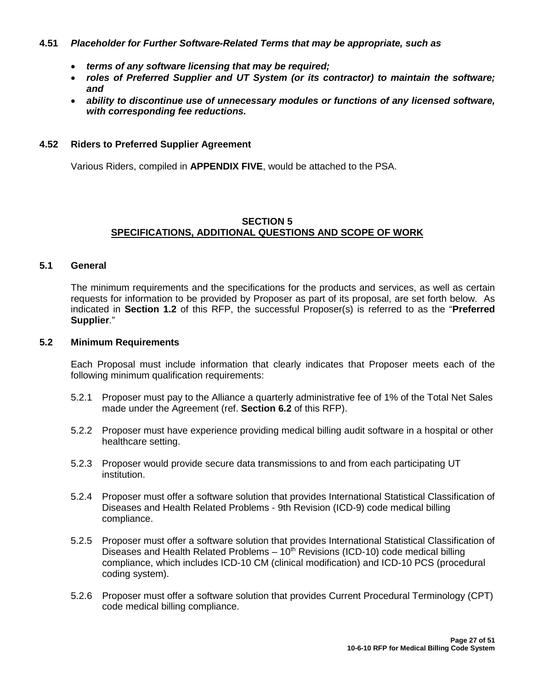#### **4.51** *Placeholder for Further Software-Related Terms that may be appropriate, such as*

- *terms of any software licensing that may be required;*
- *roles of Preferred Supplier and UT System (or its contractor) to maintain the software; and*
- *ability to discontinue use of unnecessary modules or functions of any licensed software, with corresponding fee reductions.*

### **4.52 Riders to Preferred Supplier Agreement**

Various Riders, compiled in **APPENDIX FIVE**, would be attached to the PSA.

### **SECTION 5 SPECIFICATIONS, ADDITIONAL QUESTIONS AND SCOPE OF WORK**

#### **5.1 General**

The minimum requirements and the specifications for the products and services, as well as certain requests for information to be provided by Proposer as part of its proposal, are set forth below. As indicated in **Section 1.2** of this RFP, the successful Proposer(s) is referred to as the "**Preferred Supplier**."

#### **5.2 Minimum Requirements**

Each Proposal must include information that clearly indicates that Proposer meets each of the following minimum qualification requirements:

- 5.2.1 Proposer must pay to the Alliance a quarterly administrative fee of 1% of the Total Net Sales made under the Agreement (ref. **Section 6.2** of this RFP).
- 5.2.2 Proposer must have experience providing medical billing audit software in a hospital or other healthcare setting.
- 5.2.3 Proposer would provide secure data transmissions to and from each participating UT institution.
- 5.2.4 Proposer must offer a software solution that provides International Statistical Classification of Diseases and Health Related Problems - 9th Revision (ICD-9) code medical billing compliance.
- 5.2.5 Proposer must offer a software solution that provides International Statistical Classification of Diseases and Health Related Problems  $-10<sup>th</sup>$  Revisions (ICD-10) code medical billing compliance, which includes ICD-10 CM (clinical modification) and ICD-10 PCS (procedural coding system).
- 5.2.6 Proposer must offer a software solution that provides Current Procedural Terminology (CPT) code medical billing compliance.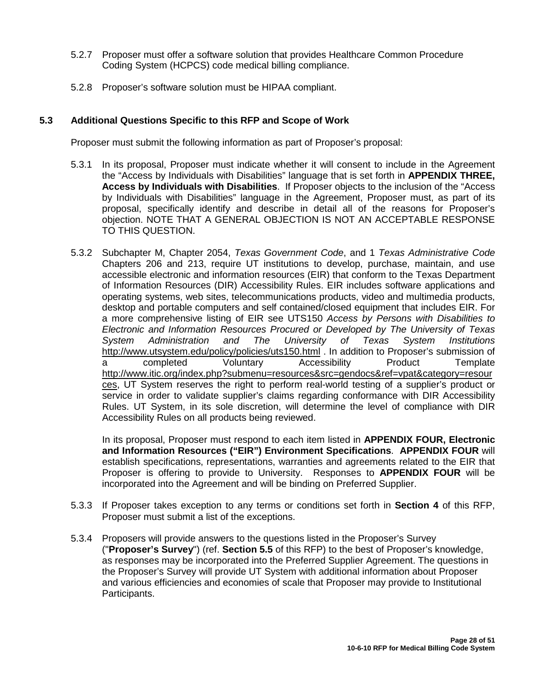- 5.2.7 Proposer must offer a software solution that provides Healthcare Common Procedure Coding System (HCPCS) code medical billing compliance.
- 5.2.8 Proposer's software solution must be HIPAA compliant.

### **5.3 Additional Questions Specific to this RFP and Scope of Work**

Proposer must submit the following information as part of Proposer's proposal:

- 5.3.1 In its proposal, Proposer must indicate whether it will consent to include in the Agreement the "Access by Individuals with Disabilities" language that is set forth in **APPENDIX THREE, Access by Individuals with Disabilities**. If Proposer objects to the inclusion of the "Access by Individuals with Disabilities" language in the Agreement, Proposer must, as part of its proposal, specifically identify and describe in detail all of the reasons for Proposer's objection. NOTE THAT A GENERAL OBJECTION IS NOT AN ACCEPTABLE RESPONSE TO THIS QUESTION.
- 5.3.2 Subchapter M, Chapter 2054, *Texas Government Code*, and 1 *Texas Administrative Code* Chapters 206 and 213, require UT institutions to develop, purchase, maintain, and use accessible electronic and information resources (EIR) that conform to the Texas Department of Information Resources (DIR) Accessibility Rules. EIR includes software applications and operating systems, web sites, telecommunications products, video and multimedia products, desktop and portable computers and self contained/closed equipment that includes EIR. For a more comprehensive listing of EIR see UTS150 *Access by Persons with Disabilities to Electronic and Information Resources Procured or Developed by The University of Texas System Administration and The University of Texas System Institutions*  <http://www.utsystem.edu/policy/policies/uts150.html> . In addition to Proposer's submission of a completed Voluntary Accessibility Product Template [http://www.itic.org/index.php?submenu=resources&src=gendocs&ref=vpat&category=resour](http://www.itic.org/index.php?submenu=resources&src=gendocs&ref=vpat&category=resources) [ces,](http://www.itic.org/index.php?submenu=resources&src=gendocs&ref=vpat&category=resources) UT System reserves the right to perform real-world testing of a supplier's product or service in order to validate supplier's claims regarding conformance with DIR Accessibility Rules. UT System, in its sole discretion, will determine the level of compliance with DIR Accessibility Rules on all products being reviewed.

In its proposal, Proposer must respond to each item listed in **APPENDIX FOUR, Electronic and Information Resources ("EIR") Environment Specifications**. **APPENDIX FOUR** will establish specifications, representations, warranties and agreements related to the EIR that Proposer is offering to provide to University. Responses to **APPENDIX FOUR** will be incorporated into the Agreement and will be binding on Preferred Supplier.

- 5.3.3 If Proposer takes exception to any terms or conditions set forth in **Section 4** of this RFP, Proposer must submit a list of the exceptions.
- 5.3.4 Proposers will provide answers to the questions listed in the Proposer's Survey ("**Proposer's Survey**") (ref. **Section 5.5** of this RFP) to the best of Proposer's knowledge, as responses may be incorporated into the Preferred Supplier Agreement. The questions in the Proposer's Survey will provide UT System with additional information about Proposer and various efficiencies and economies of scale that Proposer may provide to Institutional Participants.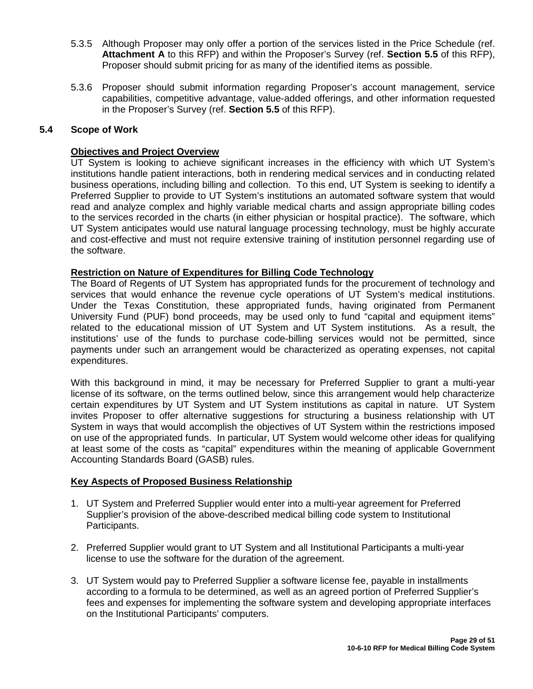- 5.3.5 Although Proposer may only offer a portion of the services listed in the Price Schedule (ref. **Attachment A** to this RFP) and within the Proposer's Survey (ref. **Section 5.5** of this RFP), Proposer should submit pricing for as many of the identified items as possible.
- 5.3.6 Proposer should submit information regarding Proposer's account management, service capabilities, competitive advantage, value-added offerings, and other information requested in the Proposer's Survey (ref. **Section 5.5** of this RFP).

# **5.4 Scope of Work**

#### **Objectives and Project Overview**

UT System is looking to achieve significant increases in the efficiency with which UT System's institutions handle patient interactions, both in rendering medical services and in conducting related business operations, including billing and collection. To this end, UT System is seeking to identify a Preferred Supplier to provide to UT System's institutions an automated software system that would read and analyze complex and highly variable medical charts and assign appropriate billing codes to the services recorded in the charts (in either physician or hospital practice). The software, which UT System anticipates would use natural language processing technology, must be highly accurate and cost-effective and must not require extensive training of institution personnel regarding use of the software.

### **Restriction on Nature of Expenditures for Billing Code Technology**

The Board of Regents of UT System has appropriated funds for the procurement of technology and services that would enhance the revenue cycle operations of UT System's medical institutions. Under the Texas Constitution, these appropriated funds, having originated from Permanent University Fund (PUF) bond proceeds, may be used only to fund "capital and equipment items" related to the educational mission of UT System and UT System institutions. As a result, the institutions' use of the funds to purchase code-billing services would not be permitted, since payments under such an arrangement would be characterized as operating expenses, not capital expenditures.

With this background in mind, it may be necessary for Preferred Supplier to grant a multi-year license of its software, on the terms outlined below, since this arrangement would help characterize certain expenditures by UT System and UT System institutions as capital in nature. UT System invites Proposer to offer alternative suggestions for structuring a business relationship with UT System in ways that would accomplish the objectives of UT System within the restrictions imposed on use of the appropriated funds. In particular, UT System would welcome other ideas for qualifying at least some of the costs as "capital" expenditures within the meaning of applicable Government Accounting Standards Board (GASB) rules.

#### **Key Aspects of Proposed Business Relationship**

- 1. UT System and Preferred Supplier would enter into a multi-year agreement for Preferred Supplier's provision of the above-described medical billing code system to Institutional Participants.
- 2. Preferred Supplier would grant to UT System and all Institutional Participants a multi-year license to use the software for the duration of the agreement.
- 3. UT System would pay to Preferred Supplier a software license fee, payable in installments according to a formula to be determined, as well as an agreed portion of Preferred Supplier's fees and expenses for implementing the software system and developing appropriate interfaces on the Institutional Participants' computers.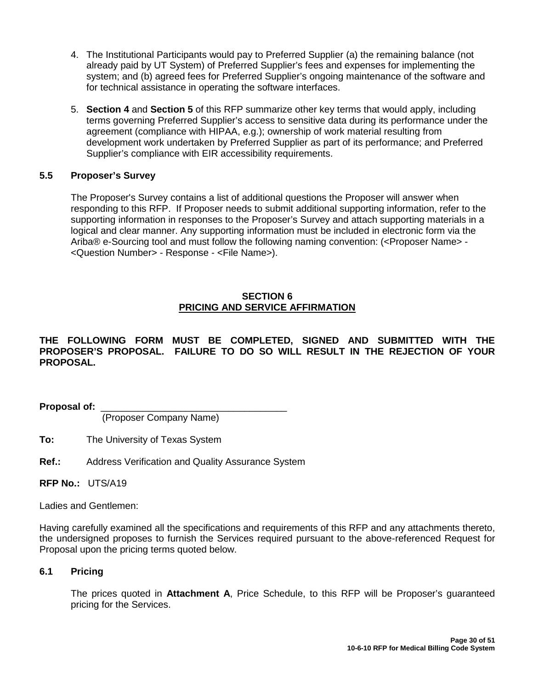- 4. The Institutional Participants would pay to Preferred Supplier (a) the remaining balance (not already paid by UT System) of Preferred Supplier's fees and expenses for implementing the system; and (b) agreed fees for Preferred Supplier's ongoing maintenance of the software and for technical assistance in operating the software interfaces.
- 5. **Section 4** and **Section 5** of this RFP summarize other key terms that would apply, including terms governing Preferred Supplier's access to sensitive data during its performance under the agreement (compliance with HIPAA, e.g.); ownership of work material resulting from development work undertaken by Preferred Supplier as part of its performance; and Preferred Supplier's compliance with EIR accessibility requirements.

# **5.5 Proposer's Survey**

The Proposer's Survey contains a list of additional questions the Proposer will answer when responding to this RFP. If Proposer needs to submit additional supporting information, refer to the supporting information in responses to the Proposer's Survey and attach supporting materials in a logical and clear manner. Any supporting information must be included in electronic form via the Ariba® e-Sourcing tool and must follow the following naming convention: (<Proposer Name> -<Question Number> - Response - <File Name>).

#### **SECTION 6 PRICING AND SERVICE AFFIRMATION**

**THE FOLLOWING FORM MUST BE COMPLETED, SIGNED AND SUBMITTED WITH THE PROPOSER'S PROPOSAL. FAILURE TO DO SO WILL RESULT IN THE REJECTION OF YOUR PROPOSAL.**

Proposal of:

(Proposer Company Name)

- **To:** The University of Texas System
- **Ref.:** Address Verification and Quality Assurance System

**RFP No.:** UTS/A19

Ladies and Gentlemen:

Having carefully examined all the specifications and requirements of this RFP and any attachments thereto, the undersigned proposes to furnish the Services required pursuant to the above-referenced Request for Proposal upon the pricing terms quoted below.

#### **6.1 Pricing**

The prices quoted in **Attachment A**, Price Schedule, to this RFP will be Proposer's guaranteed pricing for the Services.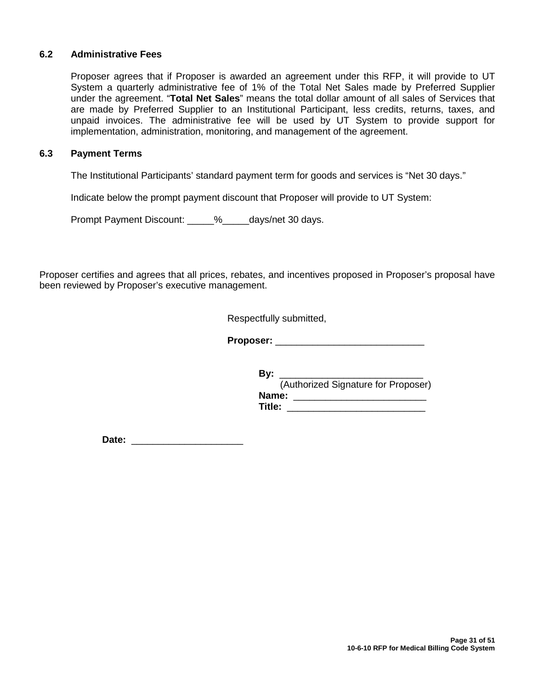# **6.2 Administrative Fees**

Proposer agrees that if Proposer is awarded an agreement under this RFP, it will provide to UT System a quarterly administrative fee of 1% of the Total Net Sales made by Preferred Supplier under the agreement. "**Total Net Sales**" means the total dollar amount of all sales of Services that are made by Preferred Supplier to an Institutional Participant, less credits, returns, taxes, and unpaid invoices. The administrative fee will be used by UT System to provide support for implementation, administration, monitoring, and management of the agreement.

### **6.3 Payment Terms**

The Institutional Participants' standard payment term for goods and services is "Net 30 days."

Indicate below the prompt payment discount that Proposer will provide to UT System:

Prompt Payment Discount: \_\_\_\_\_%\_\_\_\_\_days/net 30 days.

Proposer certifies and agrees that all prices, rebates, and incentives proposed in Proposer's proposal have been reviewed by Proposer's executive management.

Respectfully submitted,

**Proposer:** \_\_\_\_\_\_\_\_\_\_\_\_\_\_\_\_\_\_\_\_\_\_\_\_\_\_\_\_

**By:**  $\blacksquare$ 

 (Authorized Signature for Proposer) **Name:** \_\_\_\_\_\_\_\_\_\_\_\_\_\_\_\_\_\_\_\_\_\_\_\_\_ **Title:** \_\_\_\_\_\_\_\_\_\_\_\_\_\_\_\_\_\_\_\_\_\_\_\_\_\_

**Date:** \_\_\_\_\_\_\_\_\_\_\_\_\_\_\_\_\_\_\_\_\_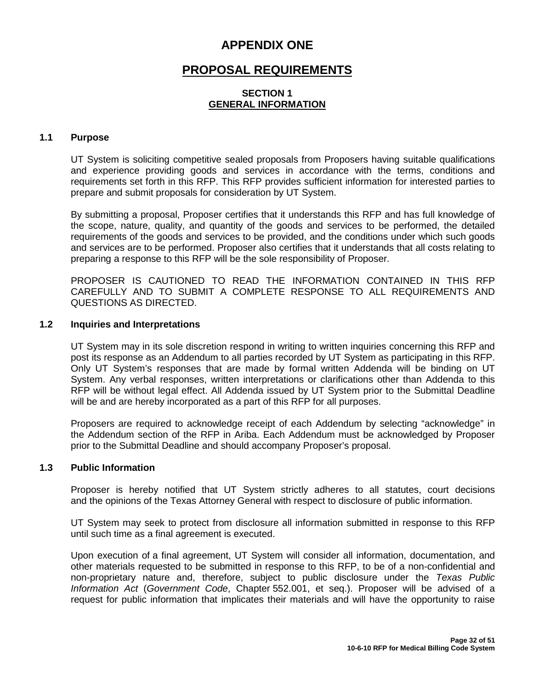# **APPENDIX ONE**

# **PROPOSAL REQUIREMENTS**

### **SECTION 1 GENERAL INFORMATION**

#### **1.1 Purpose**

UT System is soliciting competitive sealed proposals from Proposers having suitable qualifications and experience providing goods and services in accordance with the terms, conditions and requirements set forth in this RFP. This RFP provides sufficient information for interested parties to prepare and submit proposals for consideration by UT System.

By submitting a proposal, Proposer certifies that it understands this RFP and has full knowledge of the scope, nature, quality, and quantity of the goods and services to be performed, the detailed requirements of the goods and services to be provided, and the conditions under which such goods and services are to be performed. Proposer also certifies that it understands that all costs relating to preparing a response to this RFP will be the sole responsibility of Proposer.

PROPOSER IS CAUTIONED TO READ THE INFORMATION CONTAINED IN THIS RFP CAREFULLY AND TO SUBMIT A COMPLETE RESPONSE TO ALL REQUIREMENTS AND QUESTIONS AS DIRECTED.

#### **1.2 Inquiries and Interpretations**

UT System may in its sole discretion respond in writing to written inquiries concerning this RFP and post its response as an Addendum to all parties recorded by UT System as participating in this RFP. Only UT System's responses that are made by formal written Addenda will be binding on UT System. Any verbal responses, written interpretations or clarifications other than Addenda to this RFP will be without legal effect. All Addenda issued by UT System prior to the Submittal Deadline will be and are hereby incorporated as a part of this RFP for all purposes.

Proposers are required to acknowledge receipt of each Addendum by selecting "acknowledge" in the Addendum section of the RFP in Ariba. Each Addendum must be acknowledged by Proposer prior to the Submittal Deadline and should accompany Proposer's proposal.

#### **1.3 Public Information**

Proposer is hereby notified that UT System strictly adheres to all statutes, court decisions and the opinions of the Texas Attorney General with respect to disclosure of public information.

UT System may seek to protect from disclosure all information submitted in response to this RFP until such time as a final agreement is executed.

Upon execution of a final agreement, UT System will consider all information, documentation, and other materials requested to be submitted in response to this RFP, to be of a non-confidential and non-proprietary nature and, therefore, subject to public disclosure under the *Texas Public Information Act* (*Government Code*, Chapter 552.001, et seq.). Proposer will be advised of a request for public information that implicates their materials and will have the opportunity to raise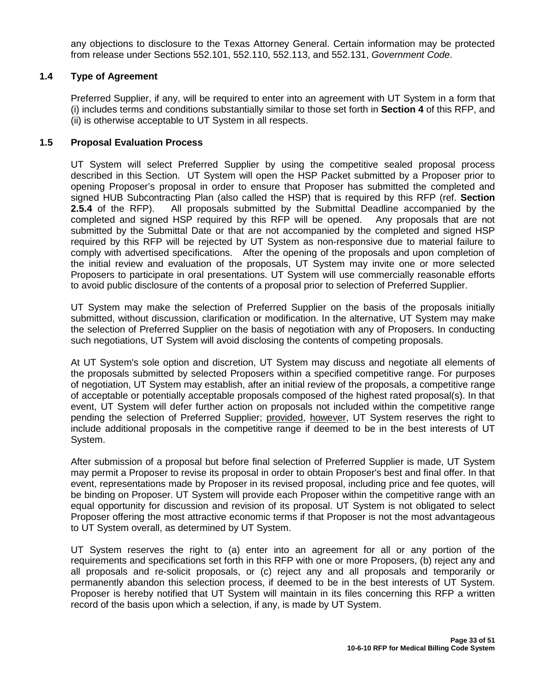any objections to disclosure to the Texas Attorney General. Certain information may be protected from release under Sections 552.101, 552.110, 552.113, and 552.131, *Government Code*.

### **1.4 Type of Agreement**

Preferred Supplier, if any, will be required to enter into an agreement with UT System in a form that (i) includes terms and conditions substantially similar to those set forth in **Section 4** of this RFP, and (ii) is otherwise acceptable to UT System in all respects.

#### **1.5 Proposal Evaluation Process**

UT System will select Preferred Supplier by using the competitive sealed proposal process described in this Section. UT System will open the HSP Packet submitted by a Proposer prior to opening Proposer's proposal in order to ensure that Proposer has submitted the completed and signed HUB Subcontracting Plan (also called the HSP) that is required by this RFP (ref. **Section 2.5.4** of the RFP). All proposals submitted by the Submittal Deadline accompanied by the completed and signed HSP required by this RFP will be opened. Any proposals that are not submitted by the Submittal Date or that are not accompanied by the completed and signed HSP required by this RFP will be rejected by UT System as non-responsive due to material failure to comply with advertised specifications. After the opening of the proposals and upon completion of the initial review and evaluation of the proposals, UT System may invite one or more selected Proposers to participate in oral presentations. UT System will use commercially reasonable efforts to avoid public disclosure of the contents of a proposal prior to selection of Preferred Supplier.

UT System may make the selection of Preferred Supplier on the basis of the proposals initially submitted, without discussion, clarification or modification. In the alternative, UT System may make the selection of Preferred Supplier on the basis of negotiation with any of Proposers. In conducting such negotiations, UT System will avoid disclosing the contents of competing proposals.

At UT System's sole option and discretion, UT System may discuss and negotiate all elements of the proposals submitted by selected Proposers within a specified competitive range. For purposes of negotiation, UT System may establish, after an initial review of the proposals, a competitive range of acceptable or potentially acceptable proposals composed of the highest rated proposal(s). In that event, UT System will defer further action on proposals not included within the competitive range pending the selection of Preferred Supplier; provided, however, UT System reserves the right to include additional proposals in the competitive range if deemed to be in the best interests of UT System.

After submission of a proposal but before final selection of Preferred Supplier is made, UT System may permit a Proposer to revise its proposal in order to obtain Proposer's best and final offer. In that event, representations made by Proposer in its revised proposal, including price and fee quotes, will be binding on Proposer. UT System will provide each Proposer within the competitive range with an equal opportunity for discussion and revision of its proposal. UT System is not obligated to select Proposer offering the most attractive economic terms if that Proposer is not the most advantageous to UT System overall, as determined by UT System.

UT System reserves the right to (a) enter into an agreement for all or any portion of the requirements and specifications set forth in this RFP with one or more Proposers, (b) reject any and all proposals and re-solicit proposals, or (c) reject any and all proposals and temporarily or permanently abandon this selection process, if deemed to be in the best interests of UT System. Proposer is hereby notified that UT System will maintain in its files concerning this RFP a written record of the basis upon which a selection, if any, is made by UT System.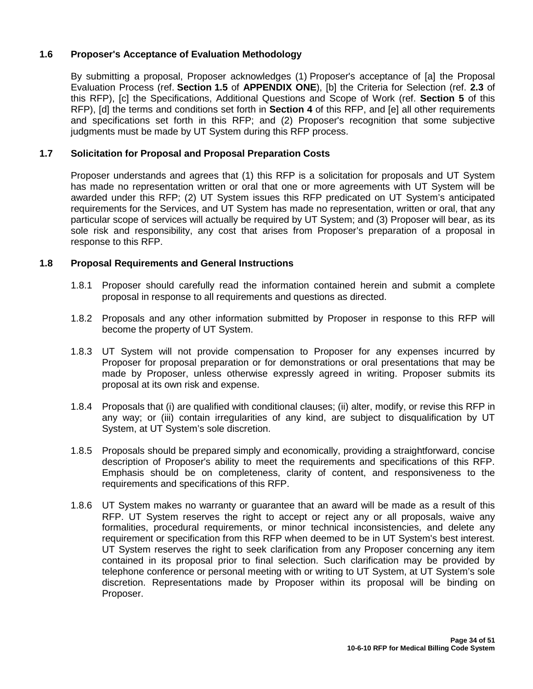# **1.6 Proposer's Acceptance of Evaluation Methodology**

By submitting a proposal, Proposer acknowledges (1) Proposer's acceptance of [a] the Proposal Evaluation Process (ref. **Section 1.5** of **APPENDIX ONE**), [b] the Criteria for Selection (ref. **2.3** of this RFP), [c] the Specifications, Additional Questions and Scope of Work (ref. **Section 5** of this RFP), [d] the terms and conditions set forth in **Section 4** of this RFP, and [e] all other requirements and specifications set forth in this RFP; and (2) Proposer's recognition that some subjective judgments must be made by UT System during this RFP process.

# **1.7 Solicitation for Proposal and Proposal Preparation Costs**

Proposer understands and agrees that (1) this RFP is a solicitation for proposals and UT System has made no representation written or oral that one or more agreements with UT System will be awarded under this RFP; (2) UT System issues this RFP predicated on UT System's anticipated requirements for the Services, and UT System has made no representation, written or oral, that any particular scope of services will actually be required by UT System; and (3) Proposer will bear, as its sole risk and responsibility, any cost that arises from Proposer's preparation of a proposal in response to this RFP.

### **1.8 Proposal Requirements and General Instructions**

- 1.8.1 Proposer should carefully read the information contained herein and submit a complete proposal in response to all requirements and questions as directed.
- 1.8.2 Proposals and any other information submitted by Proposer in response to this RFP will become the property of UT System.
- 1.8.3 UT System will not provide compensation to Proposer for any expenses incurred by Proposer for proposal preparation or for demonstrations or oral presentations that may be made by Proposer, unless otherwise expressly agreed in writing. Proposer submits its proposal at its own risk and expense.
- 1.8.4 Proposals that (i) are qualified with conditional clauses; (ii) alter, modify, or revise this RFP in any way; or (iii) contain irregularities of any kind, are subject to disqualification by UT System, at UT System's sole discretion.
- 1.8.5 Proposals should be prepared simply and economically, providing a straightforward, concise description of Proposer's ability to meet the requirements and specifications of this RFP. Emphasis should be on completeness, clarity of content, and responsiveness to the requirements and specifications of this RFP.
- 1.8.6 UT System makes no warranty or guarantee that an award will be made as a result of this RFP. UT System reserves the right to accept or reject any or all proposals, waive any formalities, procedural requirements, or minor technical inconsistencies, and delete any requirement or specification from this RFP when deemed to be in UT System's best interest. UT System reserves the right to seek clarification from any Proposer concerning any item contained in its proposal prior to final selection. Such clarification may be provided by telephone conference or personal meeting with or writing to UT System, at UT System's sole discretion. Representations made by Proposer within its proposal will be binding on Proposer.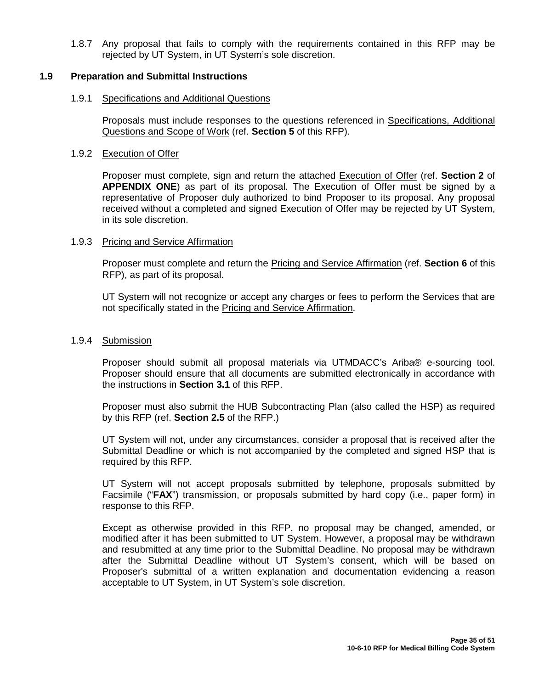1.8.7 Any proposal that fails to comply with the requirements contained in this RFP may be rejected by UT System, in UT System's sole discretion.

#### **1.9 Preparation and Submittal Instructions**

#### 1.9.1 Specifications and Additional Questions

Proposals must include responses to the questions referenced in Specifications, Additional Questions and Scope of Work (ref. **Section 5** of this RFP).

#### 1.9.2 Execution of Offer

Proposer must complete, sign and return the attached Execution of Offer (ref. **Section 2** of **APPENDIX ONE**) as part of its proposal. The Execution of Offer must be signed by a representative of Proposer duly authorized to bind Proposer to its proposal. Any proposal received without a completed and signed Execution of Offer may be rejected by UT System, in its sole discretion.

#### 1.9.3 Pricing and Service Affirmation

Proposer must complete and return the Pricing and Service Affirmation (ref. **Section 6** of this RFP), as part of its proposal.

UT System will not recognize or accept any charges or fees to perform the Services that are not specifically stated in the Pricing and Service Affirmation.

#### 1.9.4 Submission

Proposer should submit all proposal materials via UTMDACC's Ariba® e-sourcing tool. Proposer should ensure that all documents are submitted electronically in accordance with the instructions in **Section 3.1** of this RFP.

Proposer must also submit the HUB Subcontracting Plan (also called the HSP) as required by this RFP (ref. **Section 2.5** of the RFP.)

UT System will not, under any circumstances, consider a proposal that is received after the Submittal Deadline or which is not accompanied by the completed and signed HSP that is required by this RFP.

UT System will not accept proposals submitted by telephone, proposals submitted by Facsimile ("**FAX**") transmission, or proposals submitted by hard copy (i.e., paper form) in response to this RFP.

Except as otherwise provided in this RFP, no proposal may be changed, amended, or modified after it has been submitted to UT System. However, a proposal may be withdrawn and resubmitted at any time prior to the Submittal Deadline. No proposal may be withdrawn after the Submittal Deadline without UT System's consent, which will be based on Proposer's submittal of a written explanation and documentation evidencing a reason acceptable to UT System, in UT System's sole discretion.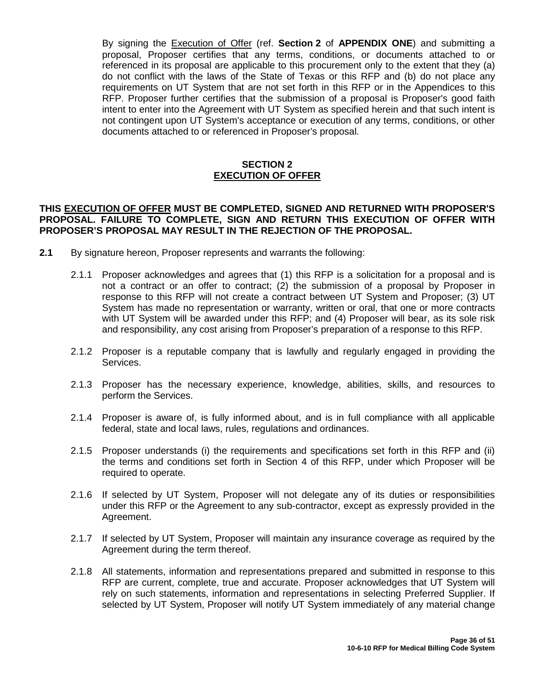By signing the Execution of Offer (ref. **Section 2** of **APPENDIX ONE**) and submitting a proposal, Proposer certifies that any terms, conditions, or documents attached to or referenced in its proposal are applicable to this procurement only to the extent that they (a) do not conflict with the laws of the State of Texas or this RFP and (b) do not place any requirements on UT System that are not set forth in this RFP or in the Appendices to this RFP. Proposer further certifies that the submission of a proposal is Proposer's good faith intent to enter into the Agreement with UT System as specified herein and that such intent is not contingent upon UT System's acceptance or execution of any terms, conditions, or other documents attached to or referenced in Proposer's proposal.

# **SECTION 2 EXECUTION OF OFFER**

#### **THIS EXECUTION OF OFFER MUST BE COMPLETED, SIGNED AND RETURNED WITH PROPOSER'S PROPOSAL. FAILURE TO COMPLETE, SIGN AND RETURN THIS EXECUTION OF OFFER WITH PROPOSER'S PROPOSAL MAY RESULT IN THE REJECTION OF THE PROPOSAL.**

- **2.1** By signature hereon, Proposer represents and warrants the following:
	- 2.1.1 Proposer acknowledges and agrees that (1) this RFP is a solicitation for a proposal and is not a contract or an offer to contract; (2) the submission of a proposal by Proposer in response to this RFP will not create a contract between UT System and Proposer; (3) UT System has made no representation or warranty, written or oral, that one or more contracts with UT System will be awarded under this RFP; and (4) Proposer will bear, as its sole risk and responsibility, any cost arising from Proposer's preparation of a response to this RFP.
	- 2.1.2 Proposer is a reputable company that is lawfully and regularly engaged in providing the Services.
	- 2.1.3 Proposer has the necessary experience, knowledge, abilities, skills, and resources to perform the Services.
	- 2.1.4 Proposer is aware of, is fully informed about, and is in full compliance with all applicable federal, state and local laws, rules, regulations and ordinances.
	- 2.1.5 Proposer understands (i) the requirements and specifications set forth in this RFP and (ii) the terms and conditions set forth in Section 4 of this RFP, under which Proposer will be required to operate.
	- 2.1.6 If selected by UT System, Proposer will not delegate any of its duties or responsibilities under this RFP or the Agreement to any sub-contractor, except as expressly provided in the Agreement.
	- 2.1.7 If selected by UT System, Proposer will maintain any insurance coverage as required by the Agreement during the term thereof.
	- 2.1.8 All statements, information and representations prepared and submitted in response to this RFP are current, complete, true and accurate. Proposer acknowledges that UT System will rely on such statements, information and representations in selecting Preferred Supplier. If selected by UT System, Proposer will notify UT System immediately of any material change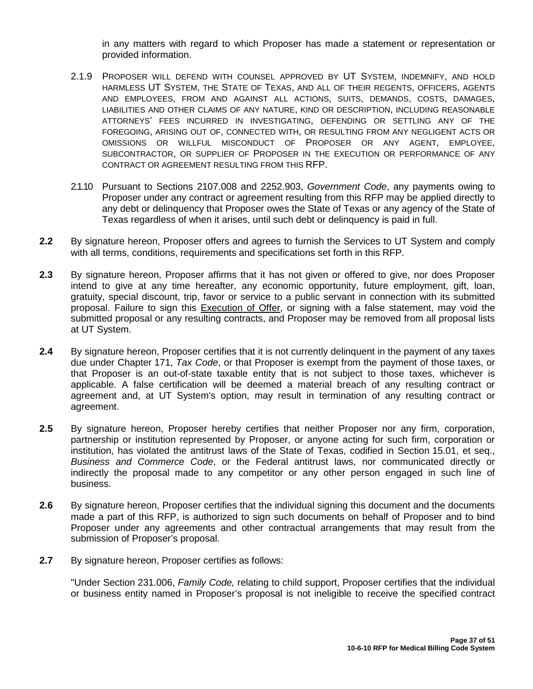in any matters with regard to which Proposer has made a statement or representation or provided information.

- 2.1.9 PROPOSER WILL DEFEND WITH COUNSEL APPROVED BY UT SYSTEM, INDEMNIFY, AND HOLD HARMLESS UT SYSTEM, THE STATE OF TEXAS, AND ALL OF THEIR REGENTS, OFFICERS, AGENTS AND EMPLOYEES, FROM AND AGAINST ALL ACTIONS, SUITS, DEMANDS, COSTS, DAMAGES, LIABILITIES AND OTHER CLAIMS OF ANY NATURE, KIND OR DESCRIPTION, INCLUDING REASONABLE ATTORNEYS' FEES INCURRED IN INVESTIGATING, DEFENDING OR SETTLING ANY OF THE FOREGOING, ARISING OUT OF, CONNECTED WITH, OR RESULTING FROM ANY NEGLIGENT ACTS OR OMISSIONS OR WILLFUL MISCONDUCT OF PROPOSER OR ANY AGENT, EMPLOYEE, SUBCONTRACTOR, OR SUPPLIER OF PROPOSER IN THE EXECUTION OR PERFORMANCE OF ANY CONTRACT OR AGREEMENT RESULTING FROM THIS RFP.
- 2.1.10 Pursuant to Sections 2107.008 and 2252.903, *Government Code*, any payments owing to Proposer under any contract or agreement resulting from this RFP may be applied directly to any debt or delinquency that Proposer owes the State of Texas or any agency of the State of Texas regardless of when it arises, until such debt or delinquency is paid in full.
- **2.2** By signature hereon, Proposer offers and agrees to furnish the Services to UT System and comply with all terms, conditions, requirements and specifications set forth in this RFP.
- **2.3** By signature hereon, Proposer affirms that it has not given or offered to give, nor does Proposer intend to give at any time hereafter, any economic opportunity, future employment, gift, loan, gratuity, special discount, trip, favor or service to a public servant in connection with its submitted proposal. Failure to sign this Execution of Offer, or signing with a false statement, may void the submitted proposal or any resulting contracts, and Proposer may be removed from all proposal lists at UT System.
- **2.4** By signature hereon, Proposer certifies that it is not currently delinquent in the payment of any taxes due under Chapter 171, *Tax Code*, or that Proposer is exempt from the payment of those taxes, or that Proposer is an out-of-state taxable entity that is not subject to those taxes, whichever is applicable. A false certification will be deemed a material breach of any resulting contract or agreement and, at UT System's option, may result in termination of any resulting contract or agreement.
- **2.5** By signature hereon, Proposer hereby certifies that neither Proposer nor any firm, corporation, partnership or institution represented by Proposer, or anyone acting for such firm, corporation or institution, has violated the antitrust laws of the State of Texas, codified in Section 15.01, et seq., *Business and Commerce Code*, or the Federal antitrust laws, nor communicated directly or indirectly the proposal made to any competitor or any other person engaged in such line of business.
- **2.6** By signature hereon, Proposer certifies that the individual signing this document and the documents made a part of this RFP, is authorized to sign such documents on behalf of Proposer and to bind Proposer under any agreements and other contractual arrangements that may result from the submission of Proposer's proposal.
- **2.7** By signature hereon, Proposer certifies as follows:

"Under Section 231.006, *Family Code,* relating to child support, Proposer certifies that the individual or business entity named in Proposer's proposal is not ineligible to receive the specified contract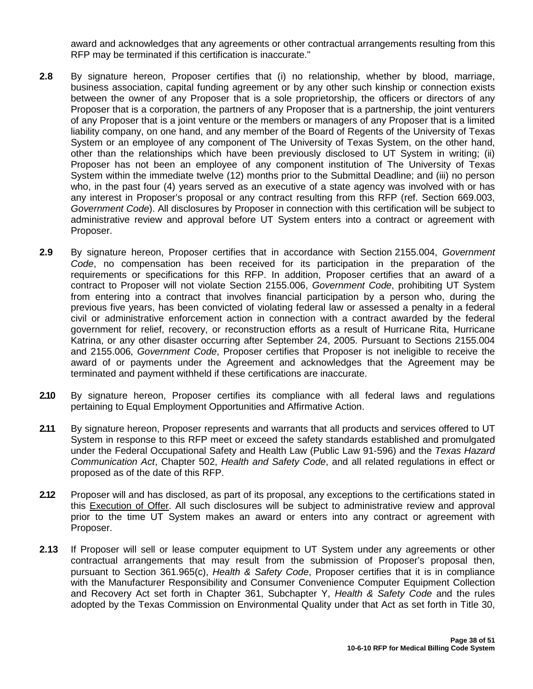award and acknowledges that any agreements or other contractual arrangements resulting from this RFP may be terminated if this certification is inaccurate."

- **2.8** By signature hereon, Proposer certifies that (i) no relationship, whether by blood, marriage, business association, capital funding agreement or by any other such kinship or connection exists between the owner of any Proposer that is a sole proprietorship, the officers or directors of any Proposer that is a corporation, the partners of any Proposer that is a partnership, the joint venturers of any Proposer that is a joint venture or the members or managers of any Proposer that is a limited liability company, on one hand, and any member of the Board of Regents of the University of Texas System or an employee of any component of The University of Texas System, on the other hand, other than the relationships which have been previously disclosed to UT System in writing; (ii) Proposer has not been an employee of any component institution of The University of Texas System within the immediate twelve (12) months prior to the Submittal Deadline; and (iii) no person who, in the past four (4) years served as an executive of a state agency was involved with or has any interest in Proposer's proposal or any contract resulting from this RFP (ref. Section 669.003, *Government Code*). All disclosures by Proposer in connection with this certification will be subject to administrative review and approval before UT System enters into a contract or agreement with Proposer.
- **2.9** By signature hereon, Proposer certifies that in accordance with Section 2155.004, *Government Code*, no compensation has been received for its participation in the preparation of the requirements or specifications for this RFP. In addition, Proposer certifies that an award of a contract to Proposer will not violate Section 2155.006, *Government Code*, prohibiting UT System from entering into a contract that involves financial participation by a person who, during the previous five years, has been convicted of violating federal law or assessed a penalty in a federal civil or administrative enforcement action in connection with a contract awarded by the federal government for relief, recovery, or reconstruction efforts as a result of Hurricane Rita, Hurricane Katrina, or any other disaster occurring after September 24, 2005. Pursuant to Sections 2155.004 and 2155.006, *Government Code*, Proposer certifies that Proposer is not ineligible to receive the award of or payments under the Agreement and acknowledges that the Agreement may be terminated and payment withheld if these certifications are inaccurate.
- **2.10** By signature hereon, Proposer certifies its compliance with all federal laws and regulations pertaining to Equal Employment Opportunities and Affirmative Action.
- **2.11** By signature hereon, Proposer represents and warrants that all products and services offered to UT System in response to this RFP meet or exceed the safety standards established and promulgated under the Federal Occupational Safety and Health Law (Public Law 91-596) and the *Texas Hazard Communication Act*, Chapter 502, *Health and Safety Code*, and all related regulations in effect or proposed as of the date of this RFP.
- **2.12** Proposer will and has disclosed, as part of its proposal, any exceptions to the certifications stated in this Execution of Offer. All such disclosures will be subject to administrative review and approval prior to the time UT System makes an award or enters into any contract or agreement with Proposer.
- **2.13** If Proposer will sell or lease computer equipment to UT System under any agreements or other contractual arrangements that may result from the submission of Proposer's proposal then, pursuant to Section 361.965(c), *Health & Safety Code*, Proposer certifies that it is in compliance with the Manufacturer Responsibility and Consumer Convenience Computer Equipment Collection and Recovery Act set forth in Chapter 361, Subchapter Y, *Health & Safety Code* and the rules adopted by the Texas Commission on Environmental Quality under that Act as set forth in Title 30,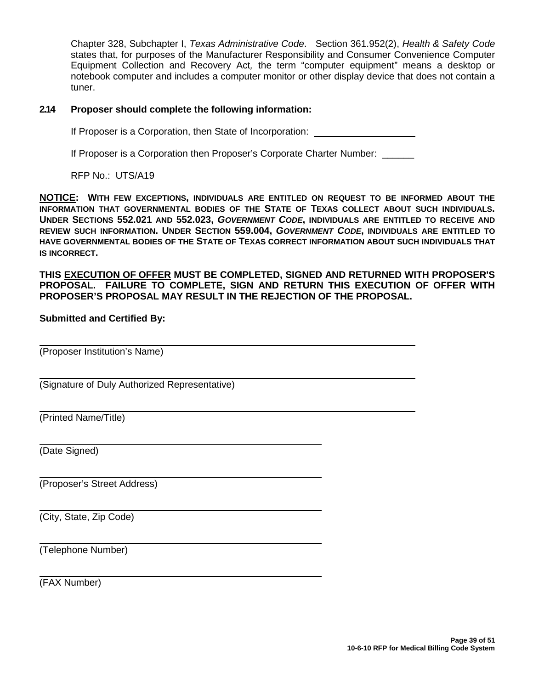Chapter 328, Subchapter I, *Texas Administrative Code*. Section 361.952(2), *Health & Safety Code* states that, for purposes of the Manufacturer Responsibility and Consumer Convenience Computer Equipment Collection and Recovery Act*,* the term "computer equipment" means a desktop or notebook computer and includes a computer monitor or other display device that does not contain a tuner.

### **2.14 Proposer should complete the following information:**

If Proposer is a Corporation, then State of Incorporation:

If Proposer is a Corporation then Proposer's Corporate Charter Number:  $\Box$ 

RFP No.: UTS/A19

**NOTICE: WITH FEW EXCEPTIONS, INDIVIDUALS ARE ENTITLED ON REQUEST TO BE INFORMED ABOUT THE INFORMATION THAT GOVERNMENTAL BODIES OF THE STATE OF TEXAS COLLECT ABOUT SUCH INDIVIDUALS. UNDER SECTIONS 552.021 AND 552.023,** *GOVERNMENT CODE***, INDIVIDUALS ARE ENTITLED TO RECEIVE AND REVIEW SUCH INFORMATION. UNDER SECTION 559.004,** *GOVERNMENT CODE***, INDIVIDUALS ARE ENTITLED TO HAVE GOVERNMENTAL BODIES OF THE STATE OF TEXAS CORRECT INFORMATION ABOUT SUCH INDIVIDUALS THAT IS INCORRECT.**

**THIS EXECUTION OF OFFER MUST BE COMPLETED, SIGNED AND RETURNED WITH PROPOSER'S PROPOSAL. FAILURE TO COMPLETE, SIGN AND RETURN THIS EXECUTION OF OFFER WITH PROPOSER'S PROPOSAL MAY RESULT IN THE REJECTION OF THE PROPOSAL.** 

### **Submitted and Certified By:**

(Proposer Institution's Name)

(Signature of Duly Authorized Representative)

(Printed Name/Title)

(Date Signed)

(Proposer's Street Address)

(City, State, Zip Code)

(Telephone Number)

(FAX Number)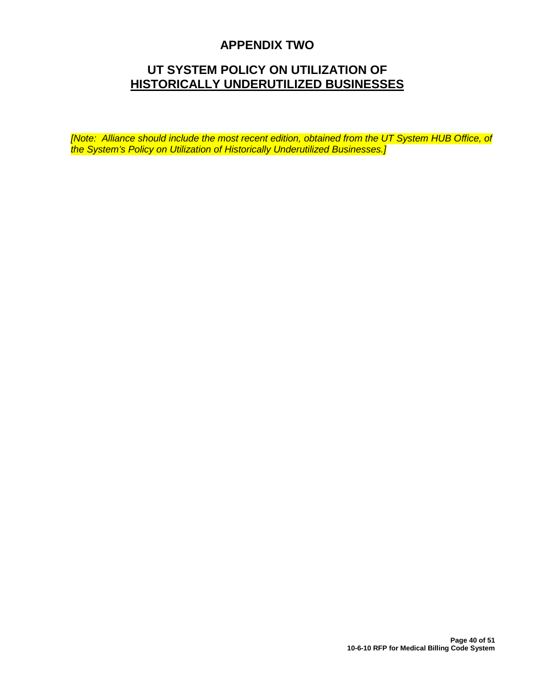# **APPENDIX TWO**

# **UT SYSTEM POLICY ON UTILIZATION OF HISTORICALLY UNDERUTILIZED BUSINESSES**

*[Note: Alliance should include the most recent edition, obtained from the UT System HUB Office, of the System's Policy on Utilization of Historically Underutilized Businesses.]*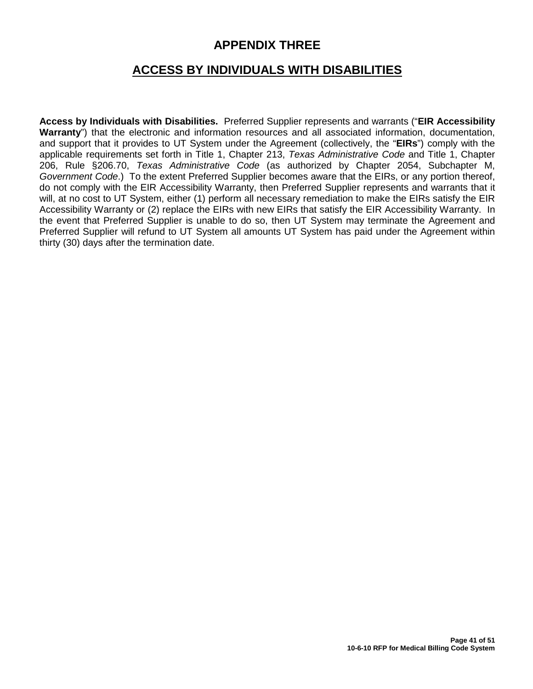# **APPENDIX THREE**

# **ACCESS BY INDIVIDUALS WITH DISABILITIES**

**Access by Individuals with Disabilities.** Preferred Supplier represents and warrants ("**EIR Accessibility Warranty**") that the electronic and information resources and all associated information, documentation, and support that it provides to UT System under the Agreement (collectively, the "**EIRs**") comply with the applicable requirements set forth in Title 1, Chapter 213, *Texas Administrative Code* and Title 1, Chapter 206, Rule §206.70, *Texas Administrative Code* (as authorized by Chapter 2054, Subchapter M, *Government Code*.) To the extent Preferred Supplier becomes aware that the EIRs, or any portion thereof, do not comply with the EIR Accessibility Warranty, then Preferred Supplier represents and warrants that it will, at no cost to UT System, either (1) perform all necessary remediation to make the EIRs satisfy the EIR Accessibility Warranty or (2) replace the EIRs with new EIRs that satisfy the EIR Accessibility Warranty. In the event that Preferred Supplier is unable to do so, then UT System may terminate the Agreement and Preferred Supplier will refund to UT System all amounts UT System has paid under the Agreement within thirty (30) days after the termination date.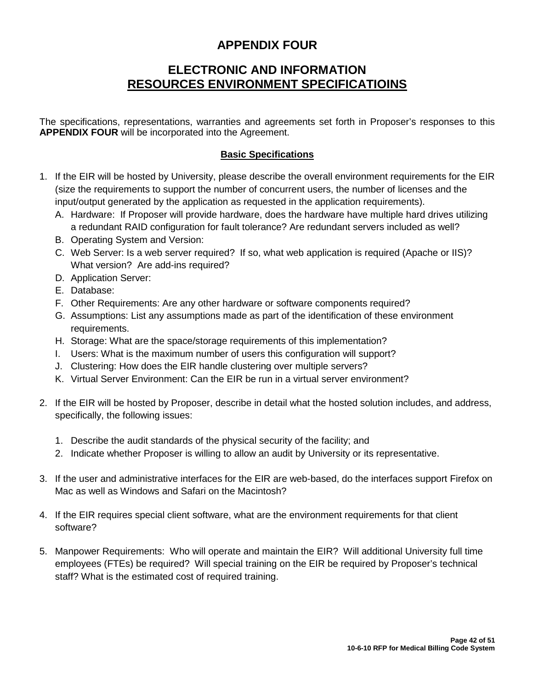# **APPENDIX FOUR**

# **ELECTRONIC AND INFORMATION RESOURCES ENVIRONMENT SPECIFICATIOINS**

The specifications, representations, warranties and agreements set forth in Proposer's responses to this **APPENDIX FOUR** will be incorporated into the Agreement.

# **Basic Specifications**

- 1. If the EIR will be hosted by University, please describe the overall environment requirements for the EIR (size the requirements to support the number of concurrent users, the number of licenses and the input/output generated by the application as requested in the application requirements).
	- A. Hardware: If Proposer will provide hardware, does the hardware have multiple hard drives utilizing a redundant RAID configuration for fault tolerance? Are redundant servers included as well?
	- B. Operating System and Version:
	- C. Web Server: Is a web server required? If so, what web application is required (Apache or IIS)? What version? Are add-ins required?
	- D. Application Server:
	- E. Database:
	- F. Other Requirements: Are any other hardware or software components required?
	- G. Assumptions: List any assumptions made as part of the identification of these environment requirements.
	- H. Storage: What are the space/storage requirements of this implementation?
	- I. Users: What is the maximum number of users this configuration will support?
	- J. Clustering: How does the EIR handle clustering over multiple servers?
	- K. Virtual Server Environment: Can the EIR be run in a virtual server environment?
- 2. If the EIR will be hosted by Proposer, describe in detail what the hosted solution includes, and address, specifically, the following issues:
	- 1. Describe the audit standards of the physical security of the facility; and
	- 2. Indicate whether Proposer is willing to allow an audit by University or its representative.
- 3. If the user and administrative interfaces for the EIR are web-based, do the interfaces support Firefox on Mac as well as Windows and Safari on the Macintosh?
- 4. If the EIR requires special client software, what are the environment requirements for that client software?
- 5. Manpower Requirements: Who will operate and maintain the EIR? Will additional University full time employees (FTEs) be required? Will special training on the EIR be required by Proposer's technical staff? What is the estimated cost of required training.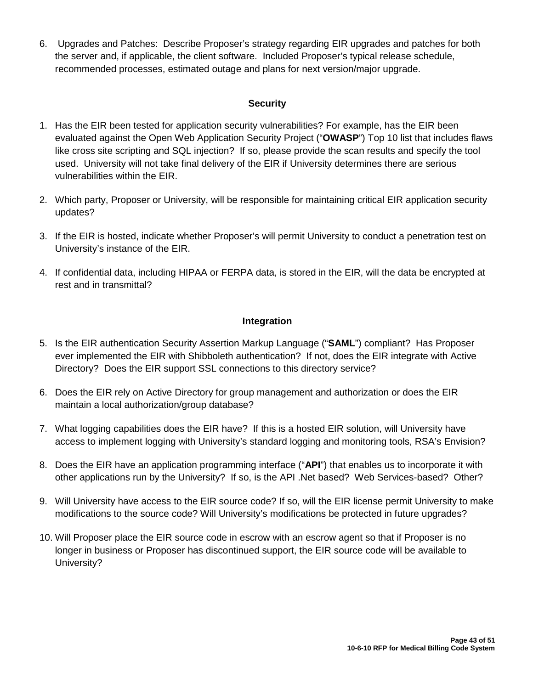6. Upgrades and Patches: Describe Proposer's strategy regarding EIR upgrades and patches for both the server and, if applicable, the client software. Included Proposer's typical release schedule, recommended processes, estimated outage and plans for next version/major upgrade.

# **Security**

- 1. Has the EIR been tested for application security vulnerabilities? For example, has the EIR been evaluated against the Open Web Application Security Project ("**OWASP**") Top 10 list that includes flaws like cross site scripting and SQL injection? If so, please provide the scan results and specify the tool used. University will not take final delivery of the EIR if University determines there are serious vulnerabilities within the EIR.
- 2. Which party, Proposer or University, will be responsible for maintaining critical EIR application security updates?
- 3. If the EIR is hosted, indicate whether Proposer's will permit University to conduct a penetration test on University's instance of the EIR.
- 4. If confidential data, including HIPAA or FERPA data, is stored in the EIR, will the data be encrypted at rest and in transmittal?

# **Integration**

- 5. Is the EIR authentication Security Assertion Markup Language ("**SAML**") compliant? Has Proposer ever implemented the EIR with Shibboleth authentication? If not, does the EIR integrate with Active Directory? Does the EIR support SSL connections to this directory service?
- 6. Does the EIR rely on Active Directory for group management and authorization or does the EIR maintain a local authorization/group database?
- 7. What logging capabilities does the EIR have? If this is a hosted EIR solution, will University have access to implement logging with University's standard logging and monitoring tools, RSA's Envision?
- 8. Does the EIR have an application programming interface ("**API**") that enables us to incorporate it with other applications run by the University? If so, is the API .Net based? Web Services-based? Other?
- 9. Will University have access to the EIR source code? If so, will the EIR license permit University to make modifications to the source code? Will University's modifications be protected in future upgrades?
- 10. Will Proposer place the EIR source code in escrow with an escrow agent so that if Proposer is no longer in business or Proposer has discontinued support, the EIR source code will be available to University?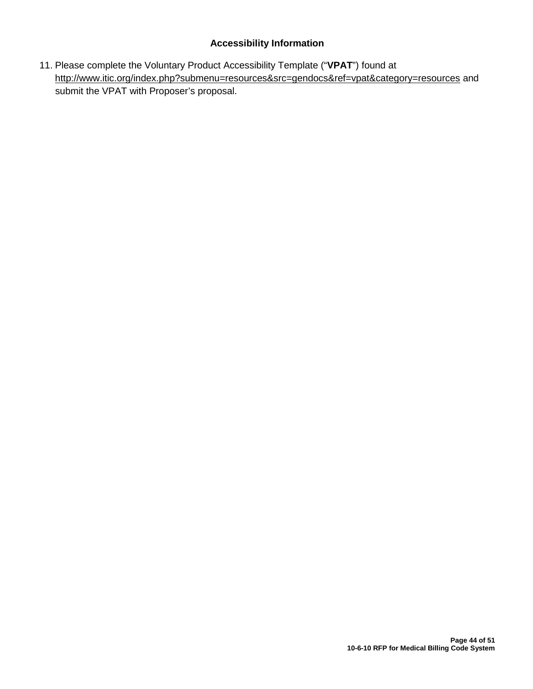# **Accessibility Information**

11. Please complete the Voluntary Product Accessibility Template ("**VPAT**") found at <http://www.itic.org/index.php?submenu=resources&src=gendocs&ref=vpat&category=resources> and submit the VPAT with Proposer's proposal.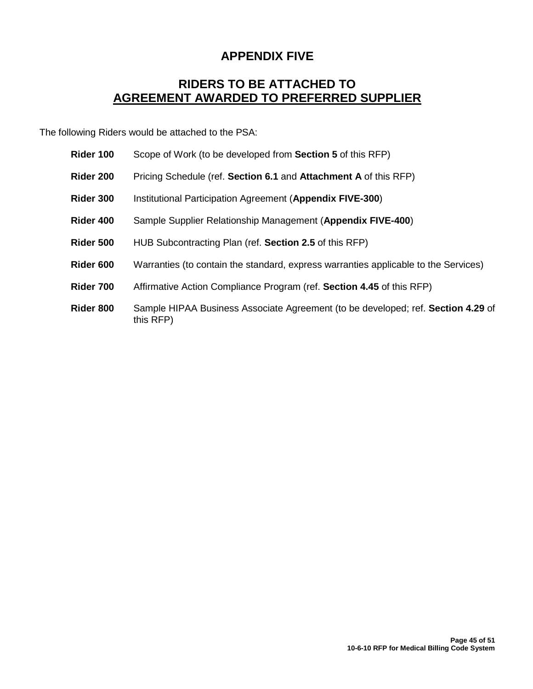# **APPENDIX FIVE**

# **RIDERS TO BE ATTACHED TO AGREEMENT AWARDED TO PREFERRED SUPPLIER**

The following Riders would be attached to the PSA:

| Rider 100 | Scope of Work (to be developed from Section 5 of this RFP) |
|-----------|------------------------------------------------------------|
|-----------|------------------------------------------------------------|

- **Rider 200** Pricing Schedule (ref. **Section 6.1** and **Attachment A** of this RFP)
- **Rider 300** Institutional Participation Agreement (**Appendix FIVE-300**)
- **Rider 400** Sample Supplier Relationship Management (**Appendix FIVE-400**)
- **Rider 500** HUB Subcontracting Plan (ref. **Section 2.5** of this RFP)
- **Rider 600** Warranties (to contain the standard, express warranties applicable to the Services)
- **Rider 700** Affirmative Action Compliance Program (ref. **Section 4.45** of this RFP)
- **Rider 800** Sample HIPAA Business Associate Agreement (to be developed; ref. **Section 4.29** of this RFP)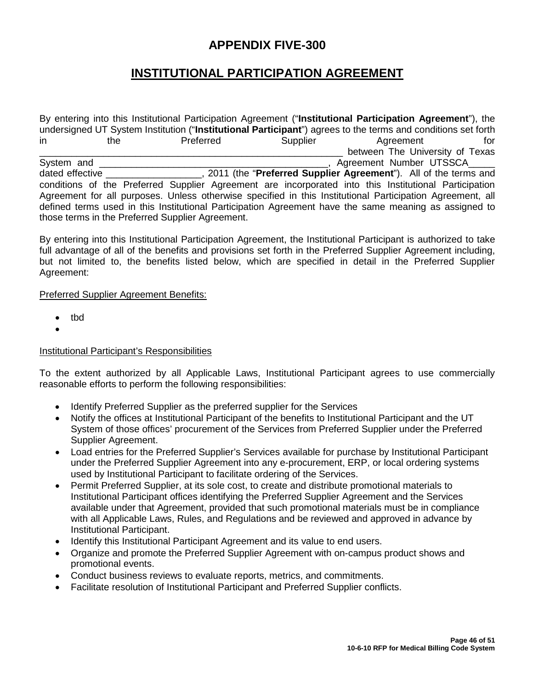# **APPENDIX FIVE-300**

# **INSTITUTIONAL PARTICIPATION AGREEMENT**

By entering into this Institutional Participation Agreement ("**Institutional Participation Agreement**"), the undersigned UT System Institution ("**Institutional Participant**") agrees to the terms and conditions set forth in the Preferred Supplier Agreement for between The University of Texas System and \_\_\_\_\_\_\_\_\_\_\_\_\_\_\_\_\_\_\_\_\_\_\_\_\_\_\_\_\_\_\_\_\_\_\_\_\_\_\_\_\_\_\_, Agreement Number UTSSCA\_\_\_\_\_ dated effective **Example 2011** (the "**Preferred Supplier Agreement**"). All of the terms and conditions of the Preferred Supplier Agreement are incorporated into this Institutional Participation Agreement for all purposes. Unless otherwise specified in this Institutional Participation Agreement, all defined terms used in this Institutional Participation Agreement have the same meaning as assigned to those terms in the Preferred Supplier Agreement.

By entering into this Institutional Participation Agreement, the Institutional Participant is authorized to take full advantage of all of the benefits and provisions set forth in the Preferred Supplier Agreement including, but not limited to, the benefits listed below, which are specified in detail in the Preferred Supplier Agreement:

#### Preferred Supplier Agreement Benefits:

- tbd
- •

#### Institutional Participant's Responsibilities

To the extent authorized by all Applicable Laws, Institutional Participant agrees to use commercially reasonable efforts to perform the following responsibilities:

- Identify Preferred Supplier as the preferred supplier for the Services
- Notify the offices at Institutional Participant of the benefits to Institutional Participant and the UT System of those offices' procurement of the Services from Preferred Supplier under the Preferred Supplier Agreement.
- Load entries for the Preferred Supplier's Services available for purchase by Institutional Participant under the Preferred Supplier Agreement into any e-procurement, ERP, or local ordering systems used by Institutional Participant to facilitate ordering of the Services.
- Permit Preferred Supplier, at its sole cost, to create and distribute promotional materials to Institutional Participant offices identifying the Preferred Supplier Agreement and the Services available under that Agreement, provided that such promotional materials must be in compliance with all Applicable Laws, Rules, and Regulations and be reviewed and approved in advance by Institutional Participant.
- Identify this Institutional Participant Agreement and its value to end users.
- Organize and promote the Preferred Supplier Agreement with on-campus product shows and promotional events.
- Conduct business reviews to evaluate reports, metrics, and commitments.
- Facilitate resolution of Institutional Participant and Preferred Supplier conflicts.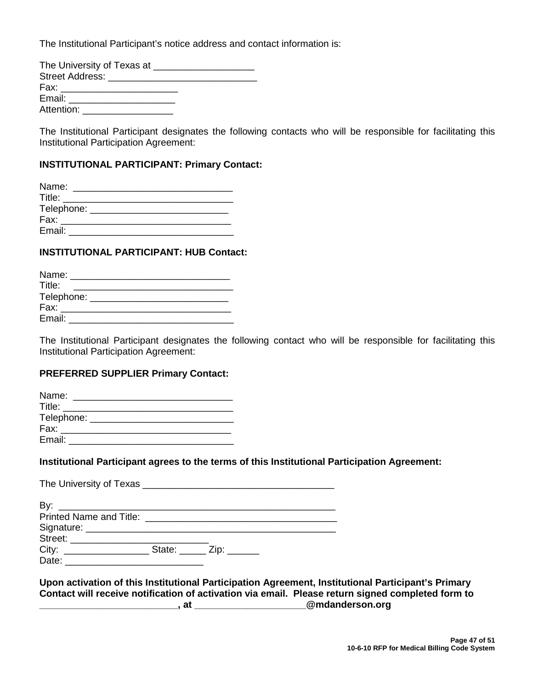The Institutional Participant's notice address and contact information is:

| The University of Texas at <b>with the University of Texas at</b>                                                                                                                                                              |
|--------------------------------------------------------------------------------------------------------------------------------------------------------------------------------------------------------------------------------|
|                                                                                                                                                                                                                                |
| Fax: Figure 1999 and the contract of the contract of the contract of the contract of the contract of the contract of the contract of the contract of the contract of the contract of the contract of the contract of the contr |
| Email: Email: The Contract of the Contract of the Contract of the Contract of the Contract of the Contract of the Contract of the Contract of the Contract of the Contract of the Contract of the Contract of the Contract of  |
| Attention: <u>__________________</u>                                                                                                                                                                                           |

The Institutional Participant designates the following contacts who will be responsible for facilitating this Institutional Participation Agreement:

### **INSTITUTIONAL PARTICIPANT: Primary Contact:**

| Name:      |  |
|------------|--|
| Title:     |  |
| Telephone: |  |
| Fax:       |  |
| Email:     |  |

### **INSTITUTIONAL PARTICIPANT: HUB Contact:**

| Name:              |  |
|--------------------|--|
| Title:             |  |
| Telephone: _______ |  |
| Fax:               |  |
| Email:             |  |

The Institutional Participant designates the following contact who will be responsible for facilitating this Institutional Participation Agreement:

# **PREFERRED SUPPLIER Primary Contact:**

| Name:                     |  | the contract of the contract of the contract of the contract of the contract of |  |
|---------------------------|--|---------------------------------------------------------------------------------|--|
| Title: __________________ |  |                                                                                 |  |
|                           |  |                                                                                 |  |
| Fax: ___________________  |  |                                                                                 |  |
| Email:                    |  |                                                                                 |  |
|                           |  |                                                                                 |  |

The University of Texas

**Institutional Participant agrees to the terms of this Institutional Participation Agreement:**

**Upon activation of this Institutional Participation Agreement, Institutional Participant's Primary Contact will receive notification of activation via email. Please return signed completed form to \_\_\_\_\_\_\_\_\_\_\_\_\_\_\_\_\_\_\_\_\_\_\_\_\_\_, at \_\_\_\_\_\_\_\_\_\_\_\_\_\_\_\_\_\_\_\_\_@mdanderson.org**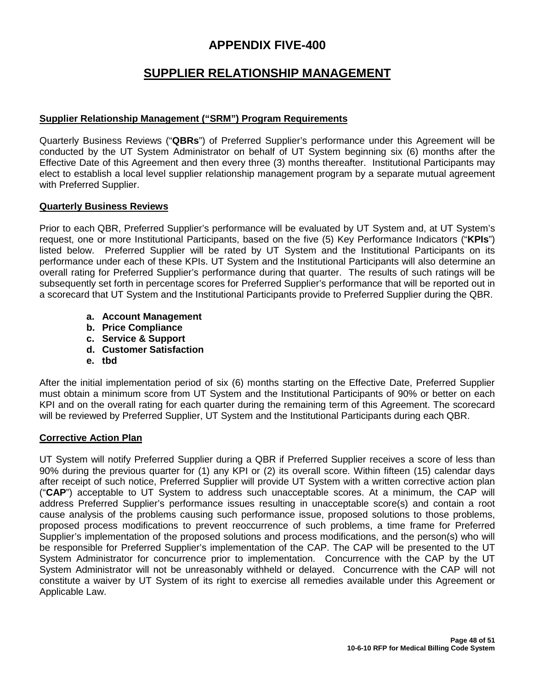# **APPENDIX FIVE-400**

# **SUPPLIER RELATIONSHIP MANAGEMENT**

### **Supplier Relationship Management ("SRM") Program Requirements**

Quarterly Business Reviews ("**QBRs**") of Preferred Supplier's performance under this Agreement will be conducted by the UT System Administrator on behalf of UT System beginning six (6) months after the Effective Date of this Agreement and then every three (3) months thereafter. Institutional Participants may elect to establish a local level supplier relationship management program by a separate mutual agreement with Preferred Supplier.

#### **Quarterly Business Reviews**

Prior to each QBR, Preferred Supplier's performance will be evaluated by UT System and, at UT System's request, one or more Institutional Participants, based on the five (5) Key Performance Indicators ("**KPIs**") listed below. Preferred Supplier will be rated by UT System and the Institutional Participants on its performance under each of these KPIs. UT System and the Institutional Participants will also determine an overall rating for Preferred Supplier's performance during that quarter. The results of such ratings will be subsequently set forth in percentage scores for Preferred Supplier's performance that will be reported out in a scorecard that UT System and the Institutional Participants provide to Preferred Supplier during the QBR.

- **a. Account Management**
- **b. Price Compliance**
- **c. Service & Support**
- **d. Customer Satisfaction**
- **e. tbd**

After the initial implementation period of six (6) months starting on the Effective Date, Preferred Supplier must obtain a minimum score from UT System and the Institutional Participants of 90% or better on each KPI and on the overall rating for each quarter during the remaining term of this Agreement. The scorecard will be reviewed by Preferred Supplier, UT System and the Institutional Participants during each QBR.

#### **Corrective Action Plan**

UT System will notify Preferred Supplier during a QBR if Preferred Supplier receives a score of less than 90% during the previous quarter for (1) any KPI or (2) its overall score. Within fifteen (15) calendar days after receipt of such notice, Preferred Supplier will provide UT System with a written corrective action plan ("**CAP**") acceptable to UT System to address such unacceptable scores. At a minimum, the CAP will address Preferred Supplier's performance issues resulting in unacceptable score(s) and contain a root cause analysis of the problems causing such performance issue, proposed solutions to those problems, proposed process modifications to prevent reoccurrence of such problems, a time frame for Preferred Supplier's implementation of the proposed solutions and process modifications, and the person(s) who will be responsible for Preferred Supplier's implementation of the CAP. The CAP will be presented to the UT System Administrator for concurrence prior to implementation. Concurrence with the CAP by the UT System Administrator will not be unreasonably withheld or delayed. Concurrence with the CAP will not constitute a waiver by UT System of its right to exercise all remedies available under this Agreement or Applicable Law.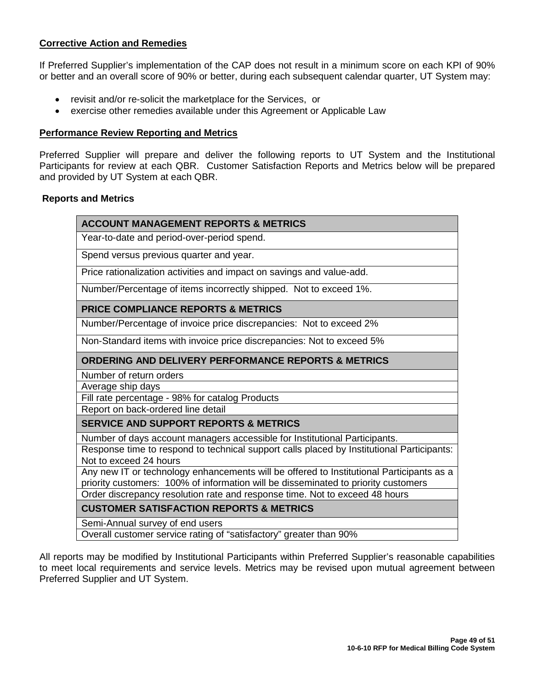### **Corrective Action and Remedies**

If Preferred Supplier's implementation of the CAP does not result in a minimum score on each KPI of 90% or better and an overall score of 90% or better, during each subsequent calendar quarter, UT System may:

- revisit and/or re-solicit the marketplace for the Services, or
- exercise other remedies available under this Agreement or Applicable Law

#### **Performance Review Reporting and Metrics**

Preferred Supplier will prepare and deliver the following reports to UT System and the Institutional Participants for review at each QBR. Customer Satisfaction Reports and Metrics below will be prepared and provided by UT System at each QBR.

#### **Reports and Metrics**

| <b>ACCOUNT MANAGEMENT REPORTS &amp; METRICS</b>                                                                     |  |  |  |
|---------------------------------------------------------------------------------------------------------------------|--|--|--|
| Year-to-date and period-over-period spend.                                                                          |  |  |  |
| Spend versus previous quarter and year.                                                                             |  |  |  |
| Price rationalization activities and impact on savings and value-add.                                               |  |  |  |
| Number/Percentage of items incorrectly shipped. Not to exceed 1%.                                                   |  |  |  |
| <b>PRICE COMPLIANCE REPORTS &amp; METRICS</b>                                                                       |  |  |  |
| Number/Percentage of invoice price discrepancies: Not to exceed 2%                                                  |  |  |  |
| Non-Standard items with invoice price discrepancies: Not to exceed 5%                                               |  |  |  |
| <b>ORDERING AND DELIVERY PERFORMANCE REPORTS &amp; METRICS</b>                                                      |  |  |  |
| Number of return orders                                                                                             |  |  |  |
| Average ship days                                                                                                   |  |  |  |
| Fill rate percentage - 98% for catalog Products                                                                     |  |  |  |
| Report on back-ordered line detail                                                                                  |  |  |  |
| <b>SERVICE AND SUPPORT REPORTS &amp; METRICS</b>                                                                    |  |  |  |
| Number of days account managers accessible for Institutional Participants.                                          |  |  |  |
| Response time to respond to technical support calls placed by Institutional Participants:<br>Not to exceed 24 hours |  |  |  |
| Any new IT or technology enhancements will be offered to Institutional Participants as a                            |  |  |  |
| priority customers: 100% of information will be disseminated to priority customers                                  |  |  |  |
| Order discrepancy resolution rate and response time. Not to exceed 48 hours                                         |  |  |  |
| <b>CUSTOMER SATISFACTION REPORTS &amp; METRICS</b>                                                                  |  |  |  |
| Semi-Annual survey of end users                                                                                     |  |  |  |
| Overall customer service rating of "satisfactory" greater than 90%                                                  |  |  |  |

All reports may be modified by Institutional Participants within Preferred Supplier's reasonable capabilities to meet local requirements and service levels. Metrics may be revised upon mutual agreement between Preferred Supplier and UT System.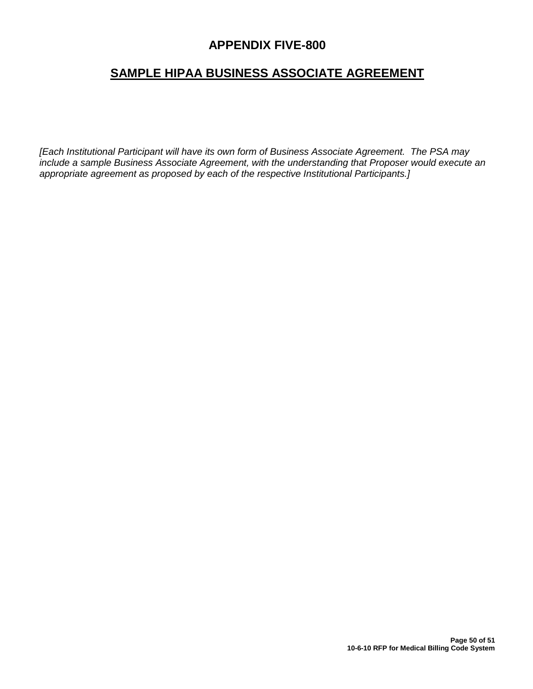# **APPENDIX FIVE-800**

# **SAMPLE HIPAA BUSINESS ASSOCIATE AGREEMENT**

*[Each Institutional Participant will have its own form of Business Associate Agreement. The PSA may include a sample Business Associate Agreement, with the understanding that Proposer would execute an appropriate agreement as proposed by each of the respective Institutional Participants.]*